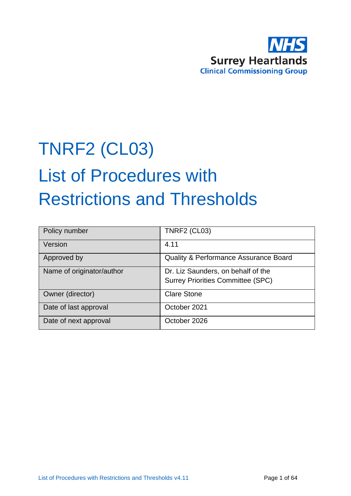

# TNRF2 (CL03) List of Procedures with Restrictions and Thresholds

| Policy number             | <b>TNRF2 (CL03)</b>                              |
|---------------------------|--------------------------------------------------|
| Version                   | 4.11                                             |
| Approved by               | <b>Quality &amp; Performance Assurance Board</b> |
| Name of originator/author | Dr. Liz Saunders, on behalf of the               |
|                           | <b>Surrey Priorities Committee (SPC)</b>         |
| Owner (director)          | <b>Clare Stone</b>                               |
| Date of last approval     | October 2021                                     |
| Date of next approval     | October 2026                                     |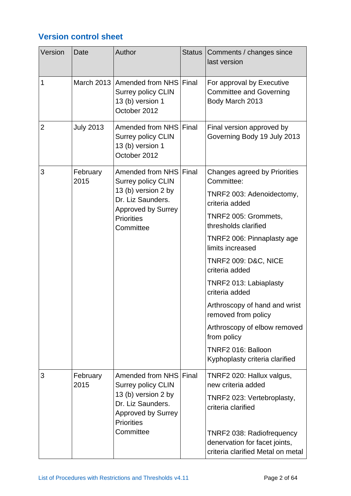## **Version control sheet**

| Version                        | Date             | Author                                                                                                                       | <b>Status</b>                                                                                   | Comments / changes since<br>last version                                       |
|--------------------------------|------------------|------------------------------------------------------------------------------------------------------------------------------|-------------------------------------------------------------------------------------------------|--------------------------------------------------------------------------------|
| 1                              |                  | March 2013 Amended from NHS Final<br>Surrey policy CLIN<br>13 (b) version 1<br>October 2012                                  |                                                                                                 | For approval by Executive<br><b>Committee and Governing</b><br>Body March 2013 |
| $\overline{2}$                 | <b>July 2013</b> | Amended from NHS Final<br><b>Surrey policy CLIN</b><br>13 (b) version 1<br>October 2012                                      |                                                                                                 | Final version approved by<br>Governing Body 19 July 2013                       |
| 3                              | February<br>2015 | Amended from NHS Final<br><b>Surrey policy CLIN</b>                                                                          |                                                                                                 | Changes agreed by Priorities<br>Committee:                                     |
|                                |                  | 13 (b) version 2 by<br>Dr. Liz Saunders.                                                                                     |                                                                                                 | TNRF2 003: Adenoidectomy,<br>criteria added                                    |
|                                |                  | <b>Approved by Surrey</b><br><b>Priorities</b><br>Committee                                                                  |                                                                                                 | TNRF2 005: Grommets,<br>thresholds clarified                                   |
|                                |                  |                                                                                                                              |                                                                                                 | TNRF2 006: Pinnaplasty age<br>limits increased                                 |
|                                |                  |                                                                                                                              |                                                                                                 | <b>TNRF2 009: D&amp;C, NICE</b><br>criteria added                              |
|                                |                  |                                                                                                                              |                                                                                                 | TNRF2 013: Labiaplasty<br>criteria added                                       |
|                                |                  |                                                                                                                              |                                                                                                 | Arthroscopy of hand and wrist<br>removed from policy                           |
|                                |                  |                                                                                                                              |                                                                                                 | Arthroscopy of elbow removed<br>from policy                                    |
|                                |                  |                                                                                                                              | TNRF2 016: Balloon<br>Kyphoplasty criteria clarified                                            |                                                                                |
| 3                              | February<br>2015 | Amended from NHS Final<br><b>Surrey policy CLIN</b><br>13 (b) version 2 by<br>Dr. Liz Saunders.<br><b>Approved by Surrey</b> |                                                                                                 | TNRF2 020: Hallux valgus,<br>new criteria added                                |
| <b>Priorities</b><br>Committee |                  |                                                                                                                              |                                                                                                 | TNRF2 023: Vertebroplasty,<br>criteria clarified                               |
|                                |                  |                                                                                                                              | TNRF2 038: Radiofrequency<br>denervation for facet joints,<br>criteria clarified Metal on metal |                                                                                |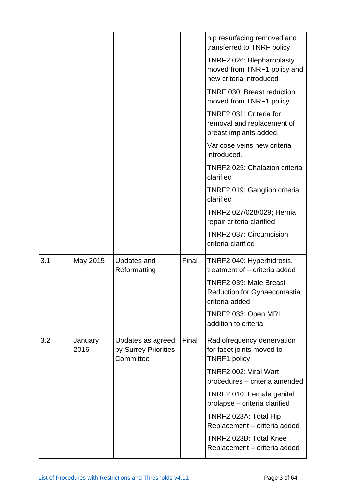|     |                 |                                                        |       | hip resurfacing removed and<br>transferred to TNRF policy                           |
|-----|-----------------|--------------------------------------------------------|-------|-------------------------------------------------------------------------------------|
|     |                 |                                                        |       | TNRF2 026: Blepharoplasty<br>moved from TNRF1 policy and<br>new criteria introduced |
|     |                 |                                                        |       | TNRF 030: Breast reduction<br>moved from TNRF1 policy.                              |
|     |                 |                                                        |       | TNRF2 031: Criteria for<br>removal and replacement of<br>breast implants added.     |
|     |                 |                                                        |       | Varicose veins new criteria<br>introduced.                                          |
|     |                 |                                                        |       | TNRF2 025: Chalazion criteria<br>clarified                                          |
|     |                 |                                                        |       | TNRF2 019: Ganglion criteria<br>clarified                                           |
|     |                 |                                                        |       | TNRF2 027/028/029; Hernia<br>repair criteria clarified                              |
|     |                 |                                                        |       | TNRF2 037: Circumcision<br>criteria clarified                                       |
| 3.1 | May 2015        | <b>Updates and</b><br>Reformatting                     | Final | TNRF2 040: Hyperhidrosis,<br>treatment of - criteria added                          |
|     |                 |                                                        |       | TNRF2 039: Male Breast<br><b>Reduction for Gynaecomastia</b><br>criteria added      |
|     |                 |                                                        |       | TNRF2 033: Open MRI<br>addition to criteria                                         |
| 3.2 | January<br>2016 | Updates as agreed<br>by Surrey Priorities<br>Committee | Final | Radiofrequency denervation<br>for facet joints moved to<br><b>TNRF1 policy</b>      |
|     |                 |                                                        |       | TNRF2 002: Viral Wart<br>procedures - criteria amended                              |
|     |                 |                                                        |       | TNRF2 010: Female genital<br>prolapse - criteria clarified                          |
|     |                 |                                                        |       | TNRF2 023A: Total Hip<br>Replacement - criteria added                               |
|     |                 |                                                        |       | TNRF2 023B: Total Knee<br>Replacement - criteria added                              |
|     |                 |                                                        |       |                                                                                     |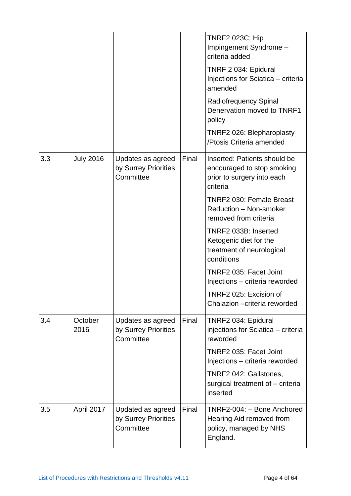|     |                  |                                                        |       | <b>TNRF2 023C: Hip</b><br>Impingement Syndrome -<br>criteria added<br>TNRF 2 034: Epidural<br>Injections for Sciatica - criteria<br>amended<br>Radiofrequency Spinal<br>Denervation moved to TNRF1<br>policy<br>TNRF2 026: Blepharoplasty<br>/Ptosis Criteria amended |
|-----|------------------|--------------------------------------------------------|-------|-----------------------------------------------------------------------------------------------------------------------------------------------------------------------------------------------------------------------------------------------------------------------|
| 3.3 | <b>July 2016</b> | Updates as agreed<br>by Surrey Priorities<br>Committee | Final | Inserted: Patients should be<br>encouraged to stop smoking<br>prior to surgery into each<br>criteria                                                                                                                                                                  |
|     |                  |                                                        |       | <b>TNRF2 030: Female Breast</b><br>Reduction - Non-smoker<br>removed from criteria                                                                                                                                                                                    |
|     |                  |                                                        |       | TNRF2 033B: Inserted<br>Ketogenic diet for the<br>treatment of neurological<br>conditions                                                                                                                                                                             |
|     |                  |                                                        |       | TNRF2 035: Facet Joint<br>Injections - criteria reworded                                                                                                                                                                                                              |
|     |                  |                                                        |       | TNRF2 025: Excision of<br>Chalazion - criteria reworded                                                                                                                                                                                                               |
| 3.4 | October<br>2016  | Updates as agreed<br>by Surrey Priorities<br>Committee | Final | TNRF2 034: Epidural<br>injections for Sciatica - criteria<br>reworded                                                                                                                                                                                                 |
|     |                  |                                                        |       | TNRF2 035: Facet Joint<br>Injections - criteria reworded                                                                                                                                                                                                              |
|     |                  |                                                        |       | TNRF2 042: Gallstones,<br>surgical treatment of - criteria<br>inserted                                                                                                                                                                                                |
| 3.5 | April 2017       | Updated as agreed<br>by Surrey Priorities<br>Committee | Final | TNRF2-004: - Bone Anchored<br>Hearing Aid removed from<br>policy, managed by NHS<br>England.                                                                                                                                                                          |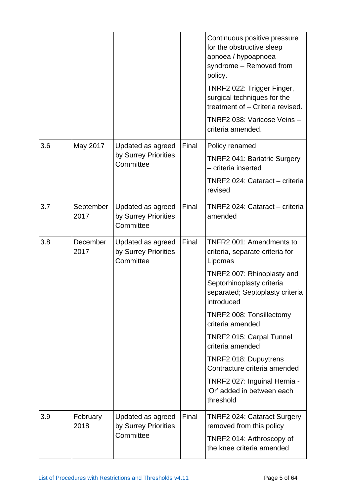|     |                   |                                                        |       | Continuous positive pressure<br>for the obstructive sleep<br>apnoea / hypoapnoea<br>syndrome - Removed from<br>policy.<br>TNRF2 022: Trigger Finger,<br>surgical techniques for the<br>treatment of - Criteria revised.<br>TNRF2 038: Varicose Veins -<br>criteria amended. |
|-----|-------------------|--------------------------------------------------------|-------|-----------------------------------------------------------------------------------------------------------------------------------------------------------------------------------------------------------------------------------------------------------------------------|
| 3.6 | May 2017          | Updated as agreed<br>by Surrey Priorities              | Final | Policy renamed                                                                                                                                                                                                                                                              |
|     |                   | Committee                                              |       | TNRF2 041: Bariatric Surgery<br>- criteria inserted                                                                                                                                                                                                                         |
|     |                   |                                                        |       | TNRF2 024: Cataract - criteria<br>revised                                                                                                                                                                                                                                   |
| 3.7 | September<br>2017 | Updated as agreed<br>by Surrey Priorities<br>Committee | Final | TNRF2 024: Cataract - criteria<br>amended                                                                                                                                                                                                                                   |
| 3.8 | December<br>2017  | Updated as agreed<br>by Surrey Priorities<br>Committee | Final | TNFR2 001: Amendments to<br>criteria, separate criteria for<br>Lipomas                                                                                                                                                                                                      |
|     |                   |                                                        |       | TNRF2 007: Rhinoplasty and<br>Septorhinoplasty criteria<br>separated; Septoplasty criteria<br>introduced                                                                                                                                                                    |
|     |                   |                                                        |       | TNRF2 008: Tonsillectomy<br>criteria amended                                                                                                                                                                                                                                |
|     |                   |                                                        |       | TNRF2 015: Carpal Tunnel<br>criteria amended                                                                                                                                                                                                                                |
|     |                   |                                                        |       | TNRF2 018: Dupuytrens<br>Contracture criteria amended                                                                                                                                                                                                                       |
|     |                   |                                                        |       | TNRF2 027: Inguinal Hernia -<br>'Or' added in between each<br>threshold                                                                                                                                                                                                     |
| 3.9 | February<br>2018  | Updated as agreed<br>by Surrey Priorities<br>Committee | Final | <b>TNRF2 024: Cataract Surgery</b><br>removed from this policy<br>TNRF2 014: Arthroscopy of<br>the knee criteria amended                                                                                                                                                    |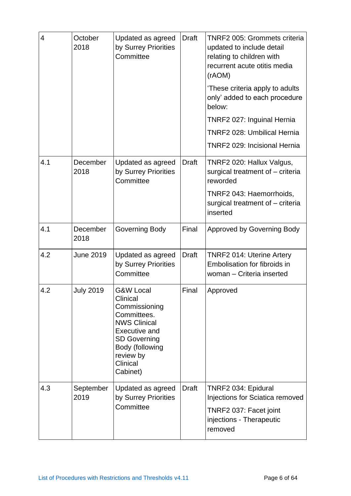| $\overline{4}$ | October<br>2018   | Updated as agreed<br>by Surrey Priorities<br>Committee                                                                                                                                         | <b>Draft</b> | <b>TNRF2 005: Grommets criteria</b><br>updated to include detail<br>relating to children with<br>recurrent acute otitis media<br>(rAOM)<br>'These criteria apply to adults<br>only' added to each procedure<br>below:<br>TNRF2 027: Inguinal Hernia<br><b>TNRF2 028: Umbilical Hernia</b><br><b>TNRF2 029: Incisional Hernia</b> |
|----------------|-------------------|------------------------------------------------------------------------------------------------------------------------------------------------------------------------------------------------|--------------|----------------------------------------------------------------------------------------------------------------------------------------------------------------------------------------------------------------------------------------------------------------------------------------------------------------------------------|
| 4.1            | December<br>2018  | Updated as agreed<br>by Surrey Priorities<br>Committee                                                                                                                                         | <b>Draft</b> | TNRF2 020: Hallux Valgus,<br>surgical treatment of - criteria<br>reworded<br>TNRF2 043: Haemorrhoids,<br>surgical treatment of - criteria<br>inserted                                                                                                                                                                            |
| 4.1            | December<br>2018  | Governing Body                                                                                                                                                                                 | Final        | <b>Approved by Governing Body</b>                                                                                                                                                                                                                                                                                                |
| 4.2            | <b>June 2019</b>  | Updated as agreed<br>by Surrey Priorities<br>Committee                                                                                                                                         | <b>Draft</b> | <b>TNRF2 014: Uterine Artery</b><br>Embolisation for fibroids in<br>woman - Criteria inserted                                                                                                                                                                                                                                    |
| 4.2            | <b>July 2019</b>  | <b>G&amp;W Local</b><br>Clinical<br>Commissioning<br>Committees.<br><b>NWS Clinical</b><br><b>Executive and</b><br><b>SD Governing</b><br>Body (following<br>review by<br>Clinical<br>Cabinet) | Final        | Approved                                                                                                                                                                                                                                                                                                                         |
| 4.3            | September<br>2019 | Updated as agreed<br>by Surrey Priorities<br>Committee                                                                                                                                         | <b>Draft</b> | TNRF2 034: Epidural<br>Injections for Sciatica removed<br>TNRF2 037: Facet joint<br>injections - Therapeutic<br>removed                                                                                                                                                                                                          |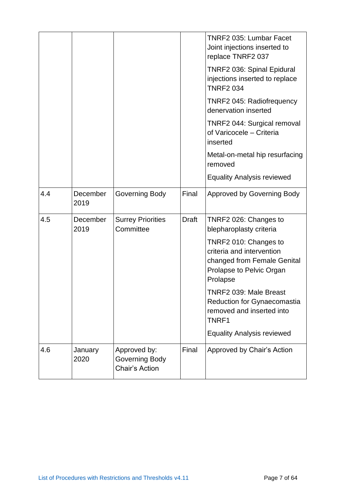|     |                  |                                                         |       | <b>TNRF2 035: Lumbar Facet</b><br>Joint injections inserted to<br>replace TNRF2 037<br>TNRF2 036: Spinal Epidural<br>injections inserted to replace<br><b>TNRF2 034</b> |
|-----|------------------|---------------------------------------------------------|-------|-------------------------------------------------------------------------------------------------------------------------------------------------------------------------|
|     |                  |                                                         |       | TNRF2 045: Radiofrequency<br>denervation inserted                                                                                                                       |
|     |                  |                                                         |       | TNRF2 044: Surgical removal<br>of Varicocele - Criteria<br>inserted                                                                                                     |
|     |                  |                                                         |       | Metal-on-metal hip resurfacing<br>removed                                                                                                                               |
|     |                  |                                                         |       | <b>Equality Analysis reviewed</b>                                                                                                                                       |
| 4.4 | December<br>2019 | Governing Body                                          | Final | <b>Approved by Governing Body</b>                                                                                                                                       |
| 4.5 | December<br>2019 | <b>Surrey Priorities</b><br>Committee                   | Draft | TNRF2 026: Changes to<br>blepharoplasty criteria                                                                                                                        |
|     |                  |                                                         |       | TNRF2 010: Changes to<br>criteria and intervention<br>changed from Female Genital<br>Prolapse to Pelvic Organ<br>Prolapse                                               |
|     |                  |                                                         |       | TNRF2 039: Male Breast<br><b>Reduction for Gynaecomastia</b><br>removed and inserted into<br>TNRF1                                                                      |
|     |                  |                                                         |       | <b>Equality Analysis reviewed</b>                                                                                                                                       |
| 4.6 | January<br>2020  | Approved by:<br>Governing Body<br><b>Chair's Action</b> | Final | Approved by Chair's Action                                                                                                                                              |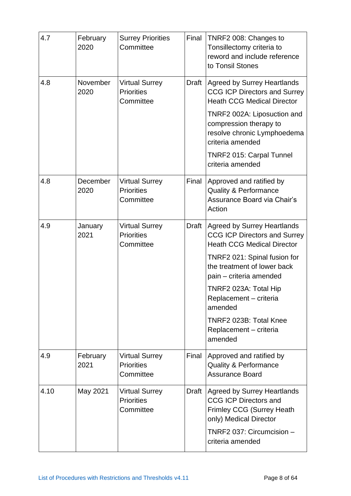| 4.7  | February<br>2020 | <b>Surrey Priorities</b><br>Committee                   | Final        | TNRF2 008: Changes to<br>Tonsillectomy criteria to<br>reword and include reference<br>to Tonsil Stones                    |
|------|------------------|---------------------------------------------------------|--------------|---------------------------------------------------------------------------------------------------------------------------|
| 4.8  | November<br>2020 | <b>Virtual Surrey</b><br><b>Priorities</b><br>Committee | Draft        | <b>Agreed by Surrey Heartlands</b><br><b>CCG ICP Directors and Surrey</b><br><b>Heath CCG Medical Director</b>            |
|      |                  |                                                         |              | TNRF2 002A: Liposuction and<br>compression therapy to<br>resolve chronic Lymphoedema<br>criteria amended                  |
|      |                  |                                                         |              | <b>TNRF2 015: Carpal Tunnel</b><br>criteria amended                                                                       |
| 4.8  | December<br>2020 | <b>Virtual Surrey</b><br><b>Priorities</b><br>Committee | Final        | Approved and ratified by<br><b>Quality &amp; Performance</b><br>Assurance Board via Chair's<br>Action                     |
| 4.9  | January<br>2021  | <b>Virtual Surrey</b><br><b>Priorities</b><br>Committee | <b>Draft</b> | <b>Agreed by Surrey Heartlands</b><br><b>CCG ICP Directors and Surrey</b><br><b>Heath CCG Medical Director</b>            |
|      |                  |                                                         |              | TNRF2 021: Spinal fusion for<br>the treatment of lower back<br>pain - criteria amended                                    |
|      |                  |                                                         |              | TNRF2 023A: Total Hip<br>Replacement - criteria<br>amended                                                                |
|      |                  |                                                         |              | TNRF2 023B: Total Knee<br>Replacement - criteria<br>amended                                                               |
| 4.9  | February<br>2021 | <b>Virtual Surrey</b><br><b>Priorities</b><br>Committee | Final        | Approved and ratified by<br><b>Quality &amp; Performance</b><br><b>Assurance Board</b>                                    |
| 4.10 | May 2021         | <b>Virtual Surrey</b><br><b>Priorities</b><br>Committee | Draft        | <b>Agreed by Surrey Heartlands</b><br><b>CCG ICP Directors and</b><br>Frimley CCG (Surrey Heath<br>only) Medical Director |
|      |                  |                                                         |              | TNRF2 037: Circumcision -<br>criteria amended                                                                             |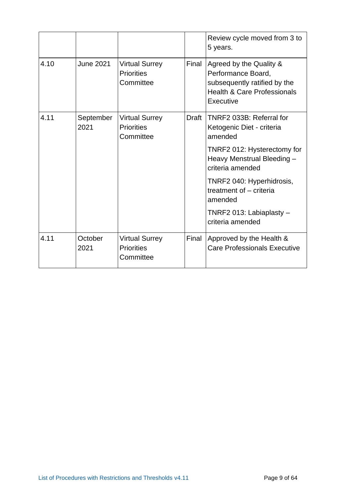|      |                   |                                                         |              | Review cycle moved from 3 to<br>5 years.                                                                                             |
|------|-------------------|---------------------------------------------------------|--------------|--------------------------------------------------------------------------------------------------------------------------------------|
| 4.10 | June 2021         | <b>Virtual Surrey</b><br><b>Priorities</b><br>Committee | Final        | Agreed by the Quality &<br>Performance Board,<br>subsequently ratified by the<br><b>Health &amp; Care Professionals</b><br>Executive |
| 4.11 | September<br>2021 | <b>Virtual Surrey</b><br><b>Priorities</b><br>Committee | <b>Draft</b> | TNRF2 033B: Referral for<br>Ketogenic Diet - criteria<br>amended                                                                     |
|      |                   |                                                         |              | TNRF2 012: Hysterectomy for<br>Heavy Menstrual Bleeding -<br>criteria amended                                                        |
|      |                   |                                                         |              | TNRF2 040: Hyperhidrosis,<br>treatment of - criteria<br>amended                                                                      |
|      |                   |                                                         |              | TNRF2 013: Labiaplasty -<br>criteria amended                                                                                         |
| 4.11 | October<br>2021   | <b>Virtual Surrey</b><br><b>Priorities</b><br>Committee | Final        | Approved by the Health &<br>Care Professionals Executive                                                                             |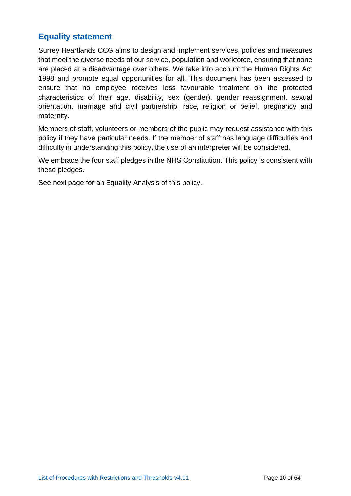#### **Equality statement**

Surrey Heartlands CCG aims to design and implement services, policies and measures that meet the diverse needs of our service, population and workforce, ensuring that none are placed at a disadvantage over others. We take into account the Human Rights Act 1998 and promote equal opportunities for all. This document has been assessed to ensure that no employee receives less favourable treatment on the protected characteristics of their age, disability, sex (gender), gender reassignment, sexual orientation, marriage and civil partnership, race, religion or belief, pregnancy and maternity.

Members of staff, volunteers or members of the public may request assistance with this policy if they have particular needs. If the member of staff has language difficulties and difficulty in understanding this policy, the use of an interpreter will be considered.

We embrace the four staff pledges in the NHS Constitution. This policy is consistent with these pledges.

See next page for an Equality Analysis of this policy.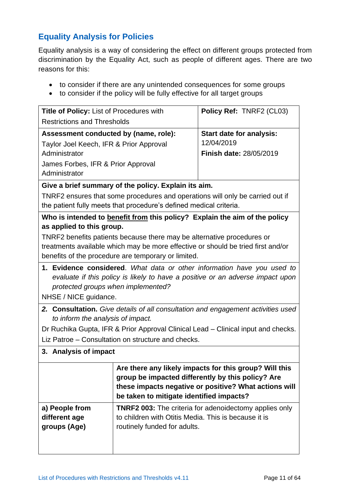#### **Equality Analysis for Policies**

Equality analysis is a way of considering the effect on different groups protected from discrimination by the Equality Act, such as people of different ages. There are two reasons for this:

- to consider if there are any unintended consequences for some groups
- to consider if the policy will be fully effective for all target groups

| <b>Title of Policy: List of Procedures with</b>                               | Policy Ref: TNRF2 (CL03)        |  |  |
|-------------------------------------------------------------------------------|---------------------------------|--|--|
| <b>Restrictions and Thresholds</b>                                            |                                 |  |  |
| Assessment conducted by (name, role):                                         | <b>Start date for analysis:</b> |  |  |
| Taylor Joel Keech, IFR & Prior Approval                                       | 12/04/2019                      |  |  |
| Administrator                                                                 | <b>Finish date: 28/05/2019</b>  |  |  |
| James Forbes, IFR & Prior Approval                                            |                                 |  |  |
| Administrator                                                                 |                                 |  |  |
| Give a brief summary of the policy. Explain its aim.                          |                                 |  |  |
| TNRF2 ensures that some procedures and operations will only be carried out if |                                 |  |  |
| the patient fully meets that procedure's defined medical criteria.            |                                 |  |  |

**Who is intended to benefit from this policy? Explain the aim of the policy as applied to this group.**

TNRF2 benefits patients because there may be alternative procedures or treatments available which may be more effective or should be tried first and/or benefits of the procedure are temporary or limited.

**1. Evidence considered**. *What data or other information have you used to evaluate if this policy is likely to have a positive or an adverse impact upon protected groups when implemented?* 

NHSE / NICE guidance.

*2.* **Consultation.** *Give details of all consultation and engagement activities used to inform the analysis of impact.*

Dr Ruchika Gupta, IFR & Prior Approval Clinical Lead – Clinical input and checks. Liz Patroe – Consultation on structure and checks.

#### **3. Analysis of impact**

|                | Are there any likely impacts for this group? Will this<br>group be impacted differently by this policy? Are<br>these impacts negative or positive? What actions will<br>be taken to mitigate identified impacts? |
|----------------|------------------------------------------------------------------------------------------------------------------------------------------------------------------------------------------------------------------|
| a) People from | <b>TNRF2 003:</b> The criteria for adenoidectomy applies only                                                                                                                                                    |
| different age  | to children with Otitis Media. This is because it is                                                                                                                                                             |
| groups (Age)   | routinely funded for adults.                                                                                                                                                                                     |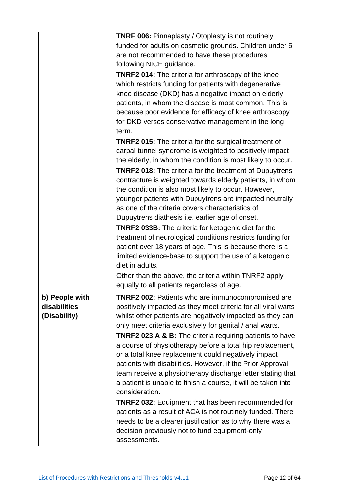|                | <b>TNRF 006:</b> Pinnaplasty / Otoplasty is not routinely           |
|----------------|---------------------------------------------------------------------|
|                | funded for adults on cosmetic grounds. Children under 5             |
|                | are not recommended to have these procedures                        |
|                | following NICE guidance.                                            |
|                | <b>TNRF2 014:</b> The criteria for arthroscopy of the knee          |
|                | which restricts funding for patients with degenerative              |
|                | knee disease (DKD) has a negative impact on elderly                 |
|                | patients, in whom the disease is most common. This is               |
|                | because poor evidence for efficacy of knee arthroscopy              |
|                | for DKD verses conservative management in the long                  |
|                | term.                                                               |
|                | <b>TNRF2 015:</b> The criteria for the surgical treatment of        |
|                | carpal tunnel syndrome is weighted to positively impact             |
|                | the elderly, in whom the condition is most likely to occur.         |
|                | <b>TNRF2 018:</b> The criteria for the treatment of Dupuytrens      |
|                | contracture is weighted towards elderly patients, in whom           |
|                | the condition is also most likely to occur. However,                |
|                | younger patients with Dupuytrens are impacted neutrally             |
|                | as one of the criteria covers characteristics of                    |
|                | Dupuytrens diathesis i.e. earlier age of onset.                     |
|                | <b>TNRF2 033B:</b> The criteria for ketogenic diet for the          |
|                | treatment of neurological conditions restricts funding for          |
|                | patient over 18 years of age. This is because there is a            |
|                | limited evidence-base to support the use of a ketogenic             |
|                | diet in adults.                                                     |
|                | Other than the above, the criteria within TNRF2 apply               |
|                | equally to all patients regardless of age.                          |
| b) People with | TNRF2 002: Patients who are immunocompromised are                   |
| disabilities   | positively impacted as they meet criteria for all viral warts       |
| (Disability)   | whilst other patients are negatively impacted as they can           |
|                | only meet criteria exclusively for genital / anal warts.            |
|                | <b>TNRF2 023 A &amp; B:</b> The criteria requiring patients to have |
|                | a course of physiotherapy before a total hip replacement,           |
|                | or a total knee replacement could negatively impact                 |
|                | patients with disabilities. However, if the Prior Approval          |
|                | team receive a physiotherapy discharge letter stating that          |
|                | a patient is unable to finish a course, it will be taken into       |
|                | consideration.                                                      |
|                | <b>TNRF2 032: Equipment that has been recommended for</b>           |
|                | patients as a result of ACA is not routinely funded. There          |
|                | needs to be a clearer justification as to why there was a           |
|                | decision previously not to fund equipment-only                      |
|                | assessments.                                                        |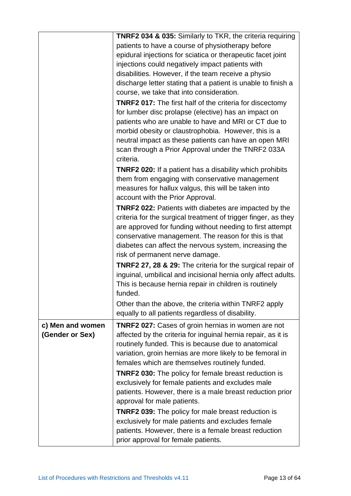|                  | <b>TNRF2 034 &amp; 035:</b> Similarly to TKR, the criteria requiring  |
|------------------|-----------------------------------------------------------------------|
|                  | patients to have a course of physiotherapy before                     |
|                  | epidural injections for sciatica or therapeutic facet joint           |
|                  | injections could negatively impact patients with                      |
|                  | disabilities. However, if the team receive a physio                   |
|                  | discharge letter stating that a patient is unable to finish a         |
|                  | course, we take that into consideration.                              |
|                  | <b>TNRF2 017:</b> The first half of the criteria for discectomy       |
|                  | for lumber disc prolapse (elective) has an impact on                  |
|                  | patients who are unable to have and MRI or CT due to                  |
|                  | morbid obesity or claustrophobia. However, this is a                  |
|                  | neutral impact as these patients can have an open MRI                 |
|                  | scan through a Prior Approval under the TNRF2 033A                    |
|                  | criteria.                                                             |
|                  | <b>TNRF2 020:</b> If a patient has a disability which prohibits       |
|                  | them from engaging with conservative management                       |
|                  | measures for hallux valgus, this will be taken into                   |
|                  | account with the Prior Approval.                                      |
|                  | <b>TNRF2 022:</b> Patients with diabetes are impacted by the          |
|                  | criteria for the surgical treatment of trigger finger, as they        |
|                  | are approved for funding without needing to first attempt             |
|                  | conservative management. The reason for this is that                  |
|                  | diabetes can affect the nervous system, increasing the                |
|                  | risk of permanent nerve damage.                                       |
|                  | <b>TNRF2 27, 28 &amp; 29:</b> The criteria for the surgical repair of |
|                  | inguinal, umbilical and incisional hernia only affect adults.         |
|                  |                                                                       |
|                  | This is because hernia repair in children is routinely<br>funded.     |
|                  |                                                                       |
|                  | Other than the above, the criteria within TNRF2 apply                 |
|                  | equally to all patients regardless of disability.                     |
| c) Men and women | <b>TNRF2 027:</b> Cases of groin hernias in women are not             |
| (Gender or Sex)  | affected by the criteria for inguinal hernia repair, as it is         |
|                  | routinely funded. This is because due to anatomical                   |
|                  | variation, groin hernias are more likely to be femoral in             |
|                  | females which are themselves routinely funded.                        |
|                  | <b>TNRF2 030:</b> The policy for female breast reduction is           |
|                  | exclusively for female patients and excludes male                     |
|                  | patients. However, there is a male breast reduction prior             |
|                  | approval for male patients.                                           |
|                  | TNRF2 039: The policy for male breast reduction is                    |
|                  | exclusively for male patients and excludes female                     |
|                  | patients. However, there is a female breast reduction                 |
|                  | prior approval for female patients.                                   |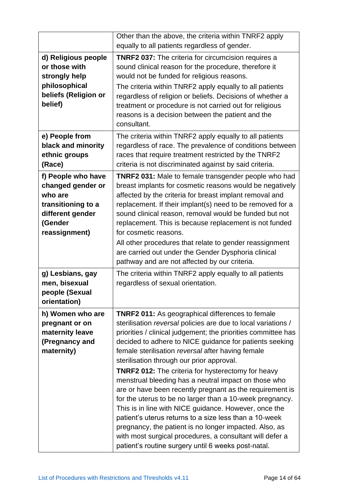|                                                                                                                          | Other than the above, the criteria within TNRF2 apply<br>equally to all patients regardless of gender.                                                                                                                                                                                                                                                                                                                                                                                                                                                                                                                                                                                                                                                                                                                                                                                              |
|--------------------------------------------------------------------------------------------------------------------------|-----------------------------------------------------------------------------------------------------------------------------------------------------------------------------------------------------------------------------------------------------------------------------------------------------------------------------------------------------------------------------------------------------------------------------------------------------------------------------------------------------------------------------------------------------------------------------------------------------------------------------------------------------------------------------------------------------------------------------------------------------------------------------------------------------------------------------------------------------------------------------------------------------|
| d) Religious people<br>or those with<br>strongly help<br>philosophical<br>beliefs (Religion or<br>belief)                | <b>TNRF2 037:</b> The criteria for circumcision requires a<br>sound clinical reason for the procedure, therefore it<br>would not be funded for religious reasons.<br>The criteria within TNRF2 apply equally to all patients<br>regardless of religion or beliefs. Decisions of whether a<br>treatment or procedure is not carried out for religious<br>reasons is a decision between the patient and the<br>consultant.                                                                                                                                                                                                                                                                                                                                                                                                                                                                            |
| e) People from<br>black and minority<br>ethnic groups<br>(Race)                                                          | The criteria within TNRF2 apply equally to all patients<br>regardless of race. The prevalence of conditions between<br>races that require treatment restricted by the TNRF2<br>criteria is not discriminated against by said criteria.                                                                                                                                                                                                                                                                                                                                                                                                                                                                                                                                                                                                                                                              |
| f) People who have<br>changed gender or<br>who are<br>transitioning to a<br>different gender<br>(Gender<br>reassignment) | <b>TNRF2 031:</b> Male to female transgender people who had<br>breast implants for cosmetic reasons would be negatively<br>affected by the criteria for breast implant removal and<br>replacement. If their implant(s) need to be removed for a<br>sound clinical reason, removal would be funded but not<br>replacement. This is because replacement is not funded<br>for cosmetic reasons.<br>All other procedures that relate to gender reassignment<br>are carried out under the Gender Dysphoria clinical<br>pathway and are not affected by our criteria.                                                                                                                                                                                                                                                                                                                                     |
| g) Lesbians, gay<br>men, bisexual<br>people (Sexual<br>orientation)                                                      | The criteria within TNRF2 apply equally to all patients<br>regardless of sexual orientation.                                                                                                                                                                                                                                                                                                                                                                                                                                                                                                                                                                                                                                                                                                                                                                                                        |
| h) Women who are<br>pregnant or on<br>maternity leave<br>(Pregnancy and<br>maternity)                                    | <b>TNRF2 011:</b> As geographical differences to female<br>sterilisation reversal policies are due to local variations /<br>priorities / clinical judgement; the priorities committee has<br>decided to adhere to NICE guidance for patients seeking<br>female sterilisation reversal after having female<br>sterilisation through our prior approval.<br><b>TNRF2 012:</b> The criteria for hysterectomy for heavy<br>menstrual bleeding has a neutral impact on those who<br>are or have been recently pregnant as the requirement is<br>for the uterus to be no larger than a 10-week pregnancy.<br>This is in line with NICE guidance. However, once the<br>patient's uterus returns to a size less than a 10-week<br>pregnancy, the patient is no longer impacted. Also, as<br>with most surgical procedures, a consultant will defer a<br>patient's routine surgery until 6 weeks post-natal. |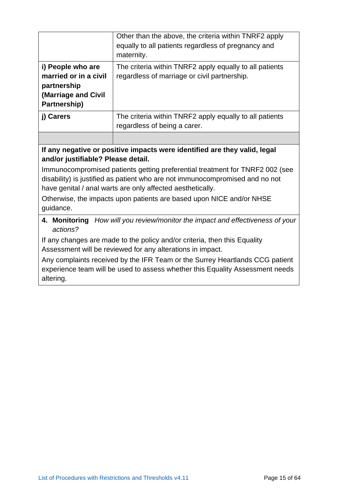|                                                                                                  | Other than the above, the criteria within TNRF2 apply<br>equally to all patients regardless of pregnancy and<br>maternity. |
|--------------------------------------------------------------------------------------------------|----------------------------------------------------------------------------------------------------------------------------|
| i) People who are<br>married or in a civil<br>partnership<br>(Marriage and Civil<br>Partnership) | The criteria within TNRF2 apply equally to all patients<br>regardless of marriage or civil partnership.                    |
| i) Carers                                                                                        | The criteria within TNRF2 apply equally to all patients<br>regardless of being a carer.                                    |

#### **If any negative or positive impacts were identified are they valid, legal and/or justifiable? Please detail.**

Immunocompromised patients getting preferential treatment for TNRF2 002 (see disability) is justified as patient who are not immunocompromised and no not have genital / anal warts are only affected aesthetically.

Otherwise, the impacts upon patients are based upon NICE and/or NHSE guidance.

#### **4. Monitoring** *How will you review/monitor the impact and effectiveness of your actions?*

If any changes are made to the policy and/or criteria, then this Equality Assessment will be reviewed for any alterations in impact.

Any complaints received by the IFR Team or the Surrey Heartlands CCG patient experience team will be used to assess whether this Equality Assessment needs altering.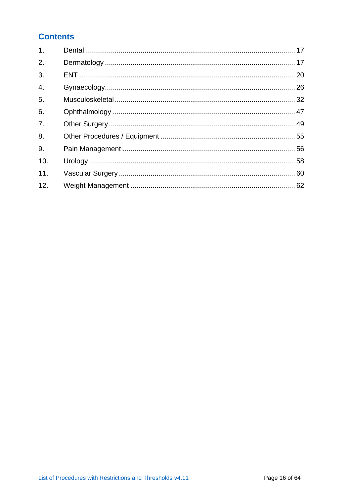### **Contents**

| 1.               |  |
|------------------|--|
| 2.               |  |
| 3.               |  |
| $\overline{4}$ . |  |
| 5.               |  |
| 6.               |  |
| 7.               |  |
| 8.               |  |
| 9.               |  |
| 10.              |  |
| 11.              |  |
| 12.              |  |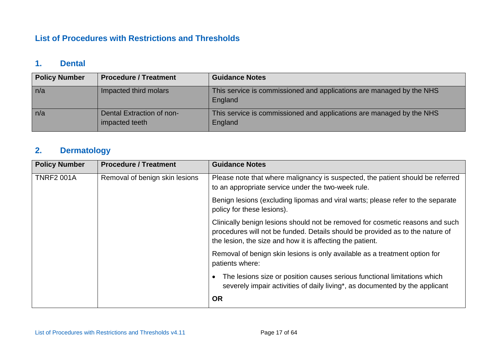#### **List of Procedures with Restrictions and Thresholds**

#### **1. Dental**

| <b>Policy Number</b> | <b>Procedure / Treatment</b>                | <b>Guidance Notes</b>                                                           |
|----------------------|---------------------------------------------|---------------------------------------------------------------------------------|
| n/a                  | Impacted third molars                       | This service is commissioned and applications are managed by the NHS<br>England |
| n/a                  | Dental Extraction of non-<br>impacted teeth | This service is commissioned and applications are managed by the NHS<br>England |

## **2. Dermatology**

| <b>Policy Number</b> | <b>Procedure / Treatment</b>   | <b>Guidance Notes</b>                                                                                                                                                                                                       |
|----------------------|--------------------------------|-----------------------------------------------------------------------------------------------------------------------------------------------------------------------------------------------------------------------------|
| <b>TNRF2 001A</b>    | Removal of benign skin lesions | Please note that where malignancy is suspected, the patient should be referred<br>to an appropriate service under the two-week rule.                                                                                        |
|                      |                                | Benign lesions (excluding lipomas and viral warts; please refer to the separate<br>policy for these lesions).                                                                                                               |
|                      |                                | Clinically benign lesions should not be removed for cosmetic reasons and such<br>procedures will not be funded. Details should be provided as to the nature of<br>the lesion, the size and how it is affecting the patient. |
|                      |                                | Removal of benign skin lesions is only available as a treatment option for<br>patients where:                                                                                                                               |
|                      |                                | The lesions size or position causes serious functional limitations which<br>severely impair activities of daily living*, as documented by the applicant                                                                     |
|                      |                                | <b>OR</b>                                                                                                                                                                                                                   |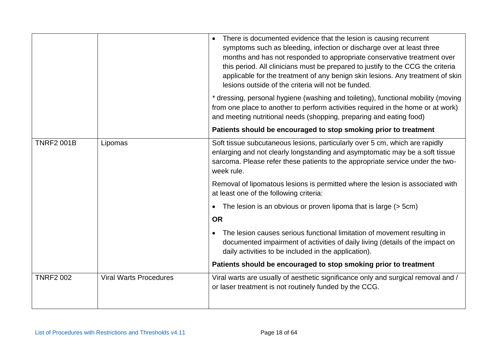|                   |                               | There is documented evidence that the lesion is causing recurrent<br>symptoms such as bleeding, infection or discharge over at least three<br>months and has not responded to appropriate conservative treatment over<br>this period. All clinicians must be prepared to justify to the CCG the criteria<br>applicable for the treatment of any benign skin lesions. Any treatment of skin<br>lesions outside of the criteria will not be funded. |
|-------------------|-------------------------------|---------------------------------------------------------------------------------------------------------------------------------------------------------------------------------------------------------------------------------------------------------------------------------------------------------------------------------------------------------------------------------------------------------------------------------------------------|
|                   |                               | * dressing, personal hygiene (washing and toileting), functional mobility (moving<br>from one place to another to perform activities required in the home or at work)<br>and meeting nutritional needs (shopping, preparing and eating food)                                                                                                                                                                                                      |
|                   |                               | Patients should be encouraged to stop smoking prior to treatment                                                                                                                                                                                                                                                                                                                                                                                  |
| <b>TNRF2 001B</b> | Lipomas                       | Soft tissue subcutaneous lesions, particularly over 5 cm, which are rapidly<br>enlarging and not clearly longstanding and asymptomatic may be a soft tissue<br>sarcoma. Please refer these patients to the appropriate service under the two-<br>week rule.                                                                                                                                                                                       |
|                   |                               | Removal of lipomatous lesions is permitted where the lesion is associated with<br>at least one of the following criteria:                                                                                                                                                                                                                                                                                                                         |
|                   |                               | The lesion is an obvious or proven lipoma that is large (> 5cm)<br>$\bullet$                                                                                                                                                                                                                                                                                                                                                                      |
|                   |                               | <b>OR</b>                                                                                                                                                                                                                                                                                                                                                                                                                                         |
|                   |                               | The lesion causes serious functional limitation of movement resulting in<br>$\bullet$<br>documented impairment of activities of daily living (details of the impact on<br>daily activities to be included in the application).                                                                                                                                                                                                                    |
|                   |                               | Patients should be encouraged to stop smoking prior to treatment                                                                                                                                                                                                                                                                                                                                                                                  |
| <b>TNRF2 002</b>  | <b>Viral Warts Procedures</b> | Viral warts are usually of aesthetic significance only and surgical removal and /<br>or laser treatment is not routinely funded by the CCG.                                                                                                                                                                                                                                                                                                       |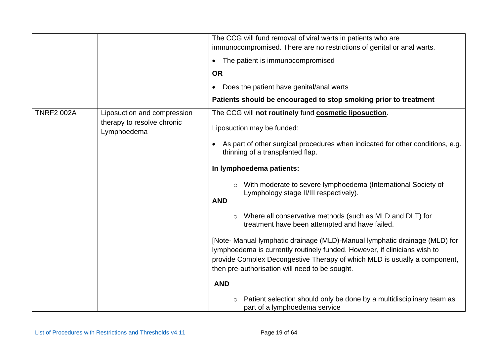|                   |                                           | The CCG will fund removal of viral warts in patients who are                                                                                                                                                                                                                           |
|-------------------|-------------------------------------------|----------------------------------------------------------------------------------------------------------------------------------------------------------------------------------------------------------------------------------------------------------------------------------------|
|                   |                                           | immunocompromised. There are no restrictions of genital or anal warts.                                                                                                                                                                                                                 |
|                   |                                           |                                                                                                                                                                                                                                                                                        |
|                   |                                           | The patient is immunocompromised<br>$\bullet$                                                                                                                                                                                                                                          |
|                   |                                           | <b>OR</b>                                                                                                                                                                                                                                                                              |
|                   |                                           | Does the patient have genital/anal warts<br>$\bullet$                                                                                                                                                                                                                                  |
|                   |                                           | Patients should be encouraged to stop smoking prior to treatment                                                                                                                                                                                                                       |
| <b>TNRF2 002A</b> | Liposuction and compression               | The CCG will not routinely fund cosmetic liposuction.                                                                                                                                                                                                                                  |
|                   | therapy to resolve chronic<br>Lymphoedema | Liposuction may be funded:                                                                                                                                                                                                                                                             |
|                   |                                           | As part of other surgical procedures when indicated for other conditions, e.g.<br>$\bullet$<br>thinning of a transplanted flap.                                                                                                                                                        |
|                   |                                           | In lymphoedema patients:                                                                                                                                                                                                                                                               |
|                   |                                           | With moderate to severe lymphoedema (International Society of<br>Lymphology stage II/III respectively).<br><b>AND</b>                                                                                                                                                                  |
|                   |                                           | Where all conservative methods (such as MLD and DLT) for<br>treatment have been attempted and have failed.                                                                                                                                                                             |
|                   |                                           | [Note- Manual lymphatic drainage (MLD)-Manual lymphatic drainage (MLD) for<br>lymphoedema is currently routinely funded. However, if clinicians wish to<br>provide Complex Decongestive Therapy of which MLD is usually a component,<br>then pre-authorisation will need to be sought. |
|                   |                                           | <b>AND</b>                                                                                                                                                                                                                                                                             |
|                   |                                           | Patient selection should only be done by a multidisciplinary team as<br>$\circ$<br>part of a lymphoedema service                                                                                                                                                                       |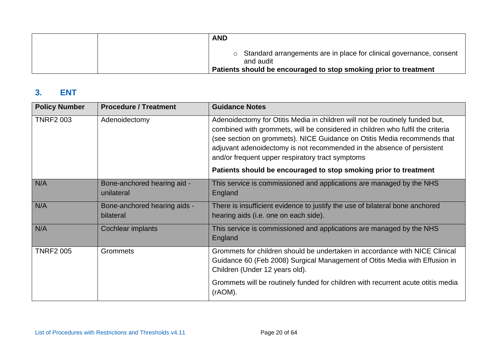| <b>AND</b>                                                                                                                                             |
|--------------------------------------------------------------------------------------------------------------------------------------------------------|
| o Standard arrangements are in place for clinical governance, consent<br>and audit<br>Patients should be encouraged to stop smoking prior to treatment |

#### **3. ENT**

| <b>Policy Number</b> | <b>Procedure / Treatment</b>              | <b>Guidance Notes</b>                                                                                                                                                                                                                                                                                                                                                    |
|----------------------|-------------------------------------------|--------------------------------------------------------------------------------------------------------------------------------------------------------------------------------------------------------------------------------------------------------------------------------------------------------------------------------------------------------------------------|
| <b>TNRF2 003</b>     | Adenoidectomy                             | Adenoidectomy for Otitis Media in children will not be routinely funded but,<br>combined with grommets, will be considered in children who fulfil the criteria<br>(see section on grommets). NICE Guidance on Otitis Media recommends that<br>adjuvant adenoidectomy is not recommended in the absence of persistent<br>and/or frequent upper respiratory tract symptoms |
|                      |                                           | Patients should be encouraged to stop smoking prior to treatment                                                                                                                                                                                                                                                                                                         |
| N/A                  | Bone-anchored hearing aid -<br>unilateral | This service is commissioned and applications are managed by the NHS<br>England                                                                                                                                                                                                                                                                                          |
| N/A                  | Bone-anchored hearing aids -<br>bilateral | There is insufficient evidence to justify the use of bilateral bone anchored<br>hearing aids (i.e. one on each side).                                                                                                                                                                                                                                                    |
| N/A                  | <b>Cochlear implants</b>                  | This service is commissioned and applications are managed by the NHS<br>England                                                                                                                                                                                                                                                                                          |
| <b>TNRF2 005</b>     | <b>Grommets</b>                           | Grommets for children should be undertaken in accordance with NICE Clinical<br>Guidance 60 (Feb 2008) Surgical Management of Otitis Media with Effusion in<br>Children (Under 12 years old).                                                                                                                                                                             |
|                      |                                           | Grommets will be routinely funded for children with recurrent acute otitis media<br>(rAOM).                                                                                                                                                                                                                                                                              |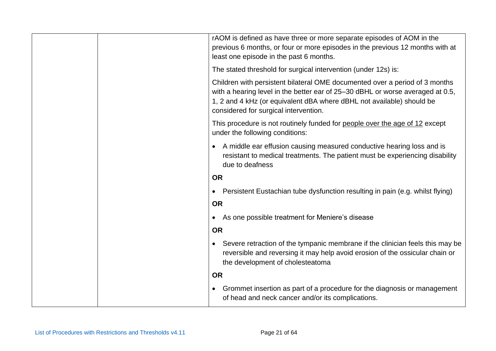|  | rAOM is defined as have three or more separate episodes of AOM in the<br>previous 6 months, or four or more episodes in the previous 12 months with at<br>least one episode in the past 6 months.                                                                               |
|--|---------------------------------------------------------------------------------------------------------------------------------------------------------------------------------------------------------------------------------------------------------------------------------|
|  | The stated threshold for surgical intervention (under 12s) is:                                                                                                                                                                                                                  |
|  | Children with persistent bilateral OME documented over a period of 3 months<br>with a hearing level in the better ear of 25–30 dBHL or worse averaged at 0.5,<br>1, 2 and 4 kHz (or equivalent dBA where dBHL not available) should be<br>considered for surgical intervention. |
|  | This procedure is not routinely funded for people over the age of 12 except<br>under the following conditions:                                                                                                                                                                  |
|  | A middle ear effusion causing measured conductive hearing loss and is<br>$\bullet$<br>resistant to medical treatments. The patient must be experiencing disability<br>due to deafness                                                                                           |
|  | <b>OR</b>                                                                                                                                                                                                                                                                       |
|  | Persistent Eustachian tube dysfunction resulting in pain (e.g. whilst flying)<br>$\bullet$                                                                                                                                                                                      |
|  | <b>OR</b>                                                                                                                                                                                                                                                                       |
|  | As one possible treatment for Meniere's disease<br>$\bullet$                                                                                                                                                                                                                    |
|  | <b>OR</b>                                                                                                                                                                                                                                                                       |
|  | Severe retraction of the tympanic membrane if the clinician feels this may be<br>$\bullet$<br>reversible and reversing it may help avoid erosion of the ossicular chain or<br>the development of cholesteatoma                                                                  |
|  | <b>OR</b>                                                                                                                                                                                                                                                                       |
|  | Grommet insertion as part of a procedure for the diagnosis or management<br>$\bullet$<br>of head and neck cancer and/or its complications.                                                                                                                                      |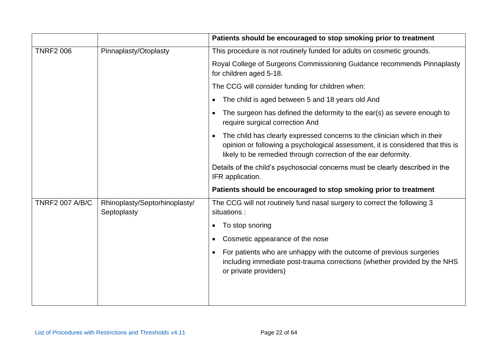|                        |                                              | Patients should be encouraged to stop smoking prior to treatment                                                                                                                                                                          |
|------------------------|----------------------------------------------|-------------------------------------------------------------------------------------------------------------------------------------------------------------------------------------------------------------------------------------------|
| <b>TNRF2 006</b>       | Pinnaplasty/Otoplasty                        | This procedure is not routinely funded for adults on cosmetic grounds.                                                                                                                                                                    |
|                        |                                              | Royal College of Surgeons Commissioning Guidance recommends Pinnaplasty<br>for children aged 5-18.                                                                                                                                        |
|                        |                                              | The CCG will consider funding for children when:                                                                                                                                                                                          |
|                        |                                              | The child is aged between 5 and 18 years old And<br>$\bullet$                                                                                                                                                                             |
|                        |                                              | The surgeon has defined the deformity to the ear(s) as severe enough to<br>$\bullet$<br>require surgical correction And                                                                                                                   |
|                        |                                              | The child has clearly expressed concerns to the clinician which in their<br>$\bullet$<br>opinion or following a psychological assessment, it is considered that this is<br>likely to be remedied through correction of the ear deformity. |
|                        |                                              | Details of the child's psychosocial concerns must be clearly described in the<br>IFR application.                                                                                                                                         |
|                        |                                              | Patients should be encouraged to stop smoking prior to treatment                                                                                                                                                                          |
| <b>TNRF2 007 A/B/C</b> | Rhinoplasty/Septorhinoplasty/<br>Septoplasty | The CCG will not routinely fund nasal surgery to correct the following 3<br>situations :                                                                                                                                                  |
|                        |                                              | To stop snoring<br>$\bullet$                                                                                                                                                                                                              |
|                        |                                              | Cosmetic appearance of the nose<br>$\bullet$                                                                                                                                                                                              |
|                        |                                              | For patients who are unhappy with the outcome of previous surgeries<br>$\bullet$<br>including immediate post-trauma corrections (whether provided by the NHS<br>or private providers)                                                     |
|                        |                                              |                                                                                                                                                                                                                                           |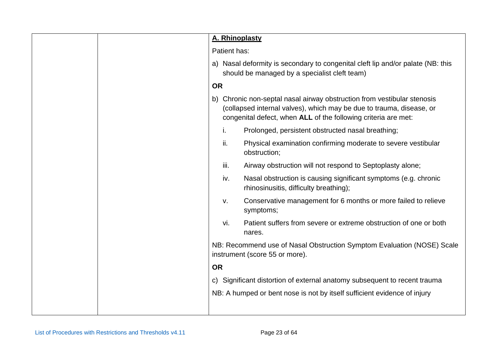| A. Rhinoplasty                                                                                                                                                                                                       |
|----------------------------------------------------------------------------------------------------------------------------------------------------------------------------------------------------------------------|
| Patient has:                                                                                                                                                                                                         |
| a) Nasal deformity is secondary to congenital cleft lip and/or palate (NB: this<br>should be managed by a specialist cleft team)                                                                                     |
| <b>OR</b>                                                                                                                                                                                                            |
| Chronic non-septal nasal airway obstruction from vestibular stenosis<br>b)<br>(collapsed internal valves), which may be due to trauma, disease, or<br>congenital defect, when ALL of the following criteria are met: |
| i.<br>Prolonged, persistent obstructed nasal breathing;                                                                                                                                                              |
| ii.<br>Physical examination confirming moderate to severe vestibular<br>obstruction;                                                                                                                                 |
| iii.<br>Airway obstruction will not respond to Septoplasty alone;                                                                                                                                                    |
| Nasal obstruction is causing significant symptoms (e.g. chronic<br>iv.<br>rhinosinusitis, difficulty breathing);                                                                                                     |
| Conservative management for 6 months or more failed to relieve<br>V.<br>symptoms;                                                                                                                                    |
| Patient suffers from severe or extreme obstruction of one or both<br>vi.<br>nares.                                                                                                                                   |
| NB: Recommend use of Nasal Obstruction Symptom Evaluation (NOSE) Scale<br>instrument (score 55 or more).                                                                                                             |
| <b>OR</b>                                                                                                                                                                                                            |
| Significant distortion of external anatomy subsequent to recent trauma<br>$\mathsf{C}$                                                                                                                               |
| NB: A humped or bent nose is not by itself sufficient evidence of injury                                                                                                                                             |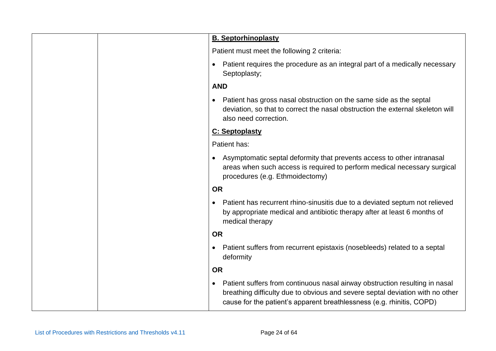| <b>B. Septorhinoplasty</b>                                                                                                                                                                                                            |
|---------------------------------------------------------------------------------------------------------------------------------------------------------------------------------------------------------------------------------------|
| Patient must meet the following 2 criteria:                                                                                                                                                                                           |
| Patient requires the procedure as an integral part of a medically necessary<br>$\bullet$<br>Septoplasty;                                                                                                                              |
| <b>AND</b>                                                                                                                                                                                                                            |
| Patient has gross nasal obstruction on the same side as the septal<br>deviation, so that to correct the nasal obstruction the external skeleton will<br>also need correction.                                                         |
| C: Septoplasty                                                                                                                                                                                                                        |
| Patient has:                                                                                                                                                                                                                          |
| Asymptomatic septal deformity that prevents access to other intranasal<br>areas when such access is required to perform medical necessary surgical<br>procedures (e.g. Ethmoidectomy)                                                 |
| <b>OR</b>                                                                                                                                                                                                                             |
| Patient has recurrent rhino-sinusitis due to a deviated septum not relieved<br>$\bullet$<br>by appropriate medical and antibiotic therapy after at least 6 months of<br>medical therapy                                               |
| <b>OR</b>                                                                                                                                                                                                                             |
| Patient suffers from recurrent epistaxis (nosebleeds) related to a septal<br>٠<br>deformity                                                                                                                                           |
| <b>OR</b>                                                                                                                                                                                                                             |
| Patient suffers from continuous nasal airway obstruction resulting in nasal<br>breathing difficulty due to obvious and severe septal deviation with no other<br>cause for the patient's apparent breathlessness (e.g. rhinitis, COPD) |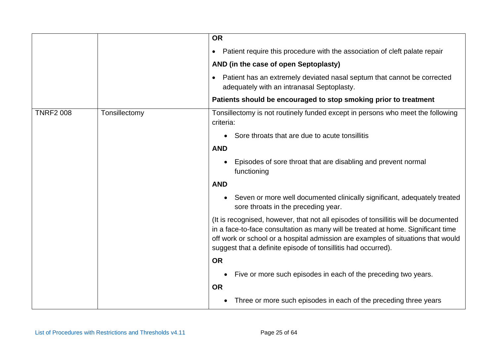|                  |               | <b>OR</b>                                                                                                                                                                                                                                                                                                                    |
|------------------|---------------|------------------------------------------------------------------------------------------------------------------------------------------------------------------------------------------------------------------------------------------------------------------------------------------------------------------------------|
|                  |               | Patient require this procedure with the association of cleft palate repair<br>$\bullet$                                                                                                                                                                                                                                      |
|                  |               | AND (in the case of open Septoplasty)                                                                                                                                                                                                                                                                                        |
|                  |               | Patient has an extremely deviated nasal septum that cannot be corrected<br>$\bullet$<br>adequately with an intranasal Septoplasty.                                                                                                                                                                                           |
|                  |               | Patients should be encouraged to stop smoking prior to treatment                                                                                                                                                                                                                                                             |
| <b>TNRF2 008</b> | Tonsillectomy | Tonsillectomy is not routinely funded except in persons who meet the following<br>criteria:                                                                                                                                                                                                                                  |
|                  |               | Sore throats that are due to acute tonsillitis                                                                                                                                                                                                                                                                               |
|                  |               | <b>AND</b>                                                                                                                                                                                                                                                                                                                   |
|                  |               | Episodes of sore throat that are disabling and prevent normal<br>$\bullet$<br>functioning                                                                                                                                                                                                                                    |
|                  |               | <b>AND</b>                                                                                                                                                                                                                                                                                                                   |
|                  |               | Seven or more well documented clinically significant, adequately treated<br>$\bullet$<br>sore throats in the preceding year.                                                                                                                                                                                                 |
|                  |               | (It is recognised, however, that not all episodes of tonsillitis will be documented<br>in a face-to-face consultation as many will be treated at home. Significant time<br>off work or school or a hospital admission are examples of situations that would<br>suggest that a definite episode of tonsillitis had occurred). |
|                  |               | <b>OR</b>                                                                                                                                                                                                                                                                                                                    |
|                  |               | Five or more such episodes in each of the preceding two years.                                                                                                                                                                                                                                                               |
|                  |               | <b>OR</b>                                                                                                                                                                                                                                                                                                                    |
|                  |               | Three or more such episodes in each of the preceding three years<br>$\bullet$                                                                                                                                                                                                                                                |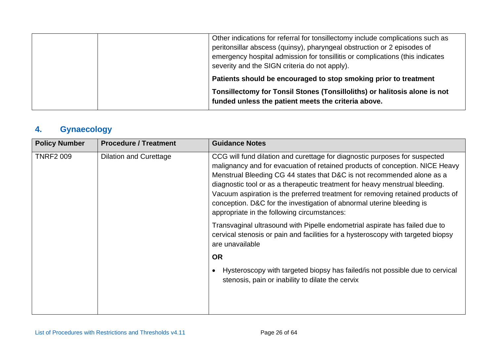| Other indications for referral for tonsillectomy include complications such as<br>peritonsillar abscess (quinsy), pharyngeal obstruction or 2 episodes of<br>emergency hospital admission for tonsillitis or complications (this indicates<br>severity and the SIGN criteria do not apply). |
|---------------------------------------------------------------------------------------------------------------------------------------------------------------------------------------------------------------------------------------------------------------------------------------------|
| Patients should be encouraged to stop smoking prior to treatment                                                                                                                                                                                                                            |
| Tonsillectomy for Tonsil Stones (Tonsilloliths) or halitosis alone is not<br>funded unless the patient meets the criteria above.                                                                                                                                                            |

# **4. Gynaecology**

| <b>Policy Number</b> | <b>Procedure / Treatment</b>  | <b>Guidance Notes</b>                                                                                                                                                                                                                                                                                                                                                                                                                                                                                                         |
|----------------------|-------------------------------|-------------------------------------------------------------------------------------------------------------------------------------------------------------------------------------------------------------------------------------------------------------------------------------------------------------------------------------------------------------------------------------------------------------------------------------------------------------------------------------------------------------------------------|
| <b>TNRF2 009</b>     | <b>Dilation and Curettage</b> | CCG will fund dilation and curettage for diagnostic purposes for suspected<br>malignancy and for evacuation of retained products of conception. NICE Heavy<br>Menstrual Bleeding CG 44 states that D&C is not recommended alone as a<br>diagnostic tool or as a therapeutic treatment for heavy menstrual bleeding.<br>Vacuum aspiration is the preferred treatment for removing retained products of<br>conception. D&C for the investigation of abnormal uterine bleeding is<br>appropriate in the following circumstances: |
|                      |                               | Transvaginal ultrasound with Pipelle endometrial aspirate has failed due to<br>cervical stenosis or pain and facilities for a hysteroscopy with targeted biopsy<br>are unavailable                                                                                                                                                                                                                                                                                                                                            |
|                      |                               | <b>OR</b>                                                                                                                                                                                                                                                                                                                                                                                                                                                                                                                     |
|                      |                               | Hysteroscopy with targeted biopsy has failed/is not possible due to cervical<br>$\bullet$<br>stenosis, pain or inability to dilate the cervix                                                                                                                                                                                                                                                                                                                                                                                 |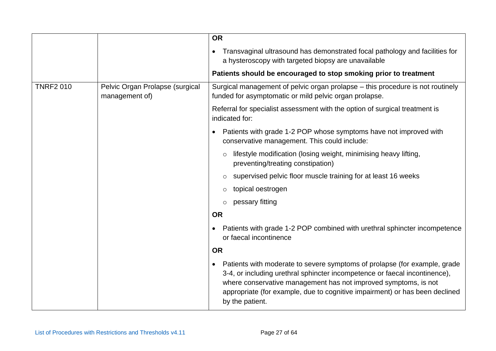|                  |                                                   | <b>OR</b>                                                                                                                                                                                                                                                                                                                                 |
|------------------|---------------------------------------------------|-------------------------------------------------------------------------------------------------------------------------------------------------------------------------------------------------------------------------------------------------------------------------------------------------------------------------------------------|
|                  |                                                   | Transvaginal ultrasound has demonstrated focal pathology and facilities for<br>$\bullet$<br>a hysteroscopy with targeted biopsy are unavailable                                                                                                                                                                                           |
|                  |                                                   | Patients should be encouraged to stop smoking prior to treatment                                                                                                                                                                                                                                                                          |
| <b>TNRF2 010</b> | Pelvic Organ Prolapse (surgical<br>management of) | Surgical management of pelvic organ prolapse – this procedure is not routinely<br>funded for asymptomatic or mild pelvic organ prolapse.                                                                                                                                                                                                  |
|                  |                                                   | Referral for specialist assessment with the option of surgical treatment is<br>indicated for:                                                                                                                                                                                                                                             |
|                  |                                                   | Patients with grade 1-2 POP whose symptoms have not improved with<br>conservative management. This could include:                                                                                                                                                                                                                         |
|                  |                                                   | lifestyle modification (losing weight, minimising heavy lifting,<br>$\circ$<br>preventing/treating constipation)                                                                                                                                                                                                                          |
|                  |                                                   | supervised pelvic floor muscle training for at least 16 weeks<br>$\circ$                                                                                                                                                                                                                                                                  |
|                  |                                                   | topical oestrogen<br>$\circ$                                                                                                                                                                                                                                                                                                              |
|                  |                                                   | pessary fitting                                                                                                                                                                                                                                                                                                                           |
|                  |                                                   | <b>OR</b>                                                                                                                                                                                                                                                                                                                                 |
|                  |                                                   | Patients with grade 1-2 POP combined with urethral sphincter incompetence<br>or faecal incontinence                                                                                                                                                                                                                                       |
|                  |                                                   | <b>OR</b>                                                                                                                                                                                                                                                                                                                                 |
|                  |                                                   | Patients with moderate to severe symptoms of prolapse (for example, grade<br>$\bullet$<br>3-4, or including urethral sphincter incompetence or faecal incontinence),<br>where conservative management has not improved symptoms, is not<br>appropriate (for example, due to cognitive impairment) or has been declined<br>by the patient. |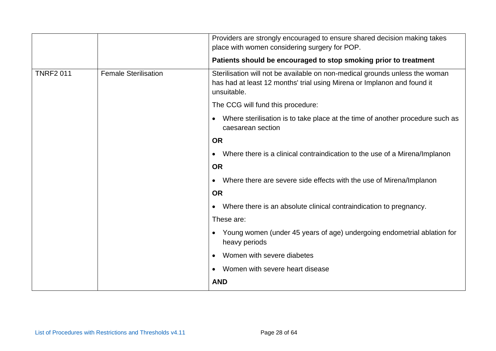|                  |                             | Providers are strongly encouraged to ensure shared decision making takes<br>place with women considering surgery for POP.                                             |
|------------------|-----------------------------|-----------------------------------------------------------------------------------------------------------------------------------------------------------------------|
|                  |                             | Patients should be encouraged to stop smoking prior to treatment                                                                                                      |
| <b>TNRF2 011</b> | <b>Female Sterilisation</b> | Sterilisation will not be available on non-medical grounds unless the woman<br>has had at least 12 months' trial using Mirena or Implanon and found it<br>unsuitable. |
|                  |                             | The CCG will fund this procedure:                                                                                                                                     |
|                  |                             | Where sterilisation is to take place at the time of another procedure such as<br>$\bullet$<br>caesarean section                                                       |
|                  |                             | <b>OR</b>                                                                                                                                                             |
|                  |                             | Where there is a clinical contraindication to the use of a Mirena/Implanon<br>٠                                                                                       |
|                  |                             | <b>OR</b>                                                                                                                                                             |
|                  |                             | Where there are severe side effects with the use of Mirena/Implanon<br>$\bullet$                                                                                      |
|                  |                             | <b>OR</b>                                                                                                                                                             |
|                  |                             | Where there is an absolute clinical contraindication to pregnancy.<br>$\bullet$                                                                                       |
|                  |                             | These are:                                                                                                                                                            |
|                  |                             | • Young women (under 45 years of age) undergoing endometrial ablation for<br>heavy periods                                                                            |
|                  |                             | Women with severe diabetes<br>$\bullet$                                                                                                                               |
|                  |                             | Women with severe heart disease<br>$\bullet$                                                                                                                          |
|                  |                             | <b>AND</b>                                                                                                                                                            |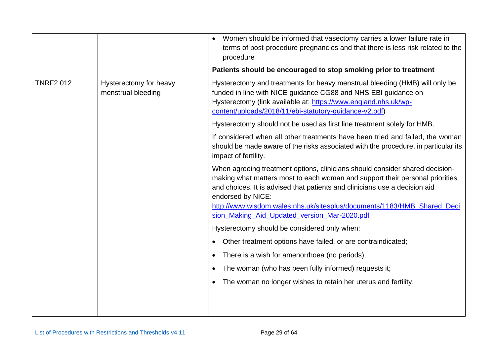|                  |                                              | Women should be informed that vasectomy carries a lower failure rate in<br>terms of post-procedure pregnancies and that there is less risk related to the<br>procedure                                                                                                     |
|------------------|----------------------------------------------|----------------------------------------------------------------------------------------------------------------------------------------------------------------------------------------------------------------------------------------------------------------------------|
|                  |                                              | Patients should be encouraged to stop smoking prior to treatment                                                                                                                                                                                                           |
| <b>TNRF2 012</b> | Hysterectomy for heavy<br>menstrual bleeding | Hysterectomy and treatments for heavy menstrual bleeding (HMB) will only be<br>funded in line with NICE guidance CG88 and NHS EBI guidance on<br>Hysterectomy (link available at: https://www.england.nhs.uk/wp-<br>content/uploads/2018/11/ebi-statutory-guidance-v2.pdf) |
|                  |                                              | Hysterectomy should not be used as first line treatment solely for HMB.                                                                                                                                                                                                    |
|                  |                                              | If considered when all other treatments have been tried and failed, the woman<br>should be made aware of the risks associated with the procedure, in particular its<br>impact of fertility.                                                                                |
|                  |                                              | When agreeing treatment options, clinicians should consider shared decision-<br>making what matters most to each woman and support their personal priorities<br>and choices. It is advised that patients and clinicians use a decision aid<br>endorsed by NICE:            |
|                  |                                              | http://www.wisdom.wales.nhs.uk/sitesplus/documents/1183/HMB_Shared_Deci<br>sion_Making_Aid_Updated_version_Mar-2020.pdf                                                                                                                                                    |
|                  |                                              | Hysterectomy should be considered only when:                                                                                                                                                                                                                               |
|                  |                                              | Other treatment options have failed, or are contraindicated;<br>$\bullet$                                                                                                                                                                                                  |
|                  |                                              | There is a wish for amenorrhoea (no periods);<br>$\bullet$                                                                                                                                                                                                                 |
|                  |                                              | The woman (who has been fully informed) requests it;<br>$\bullet$                                                                                                                                                                                                          |
|                  |                                              | The woman no longer wishes to retain her uterus and fertility.                                                                                                                                                                                                             |
|                  |                                              |                                                                                                                                                                                                                                                                            |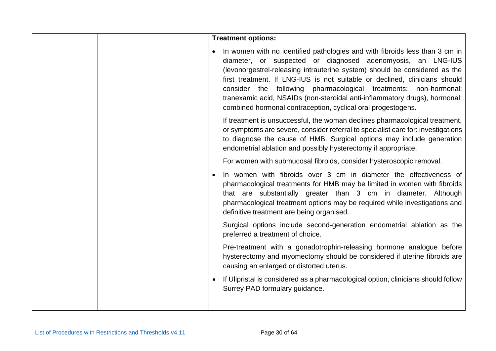|  | <b>Treatment options:</b>                                                                                                                                                                                                                                                                                                                                                                                                                                                                                                |
|--|--------------------------------------------------------------------------------------------------------------------------------------------------------------------------------------------------------------------------------------------------------------------------------------------------------------------------------------------------------------------------------------------------------------------------------------------------------------------------------------------------------------------------|
|  | In women with no identified pathologies and with fibroids less than 3 cm in<br>diameter, or suspected or diagnosed adenomyosis, an LNG-IUS<br>(levonorgestrel-releasing intrauterine system) should be considered as the<br>first treatment. If LNG-IUS is not suitable or declined, clinicians should<br>consider the following pharmacological treatments: non-hormonal:<br>tranexamic acid, NSAIDs (non-steroidal anti-inflammatory drugs), hormonal:<br>combined hormonal contraception, cyclical oral progestogens. |
|  | If treatment is unsuccessful, the woman declines pharmacological treatment,<br>or symptoms are severe, consider referral to specialist care for: investigations<br>to diagnose the cause of HMB. Surgical options may include generation<br>endometrial ablation and possibly hysterectomy if appropriate.                                                                                                                                                                                                               |
|  | For women with submucosal fibroids, consider hysteroscopic removal.                                                                                                                                                                                                                                                                                                                                                                                                                                                      |
|  | In women with fibroids over 3 cm in diameter the effectiveness of<br>pharmacological treatments for HMB may be limited in women with fibroids<br>that are substantially greater than 3 cm in diameter. Although<br>pharmacological treatment options may be required while investigations and<br>definitive treatment are being organised.                                                                                                                                                                               |
|  | Surgical options include second-generation endometrial ablation as the<br>preferred a treatment of choice.                                                                                                                                                                                                                                                                                                                                                                                                               |
|  | Pre-treatment with a gonadotrophin-releasing hormone analogue before<br>hysterectomy and myomectomy should be considered if uterine fibroids are<br>causing an enlarged or distorted uterus.                                                                                                                                                                                                                                                                                                                             |
|  | If Ulipristal is considered as a pharmacological option, clinicians should follow<br>Surrey PAD formulary guidance.                                                                                                                                                                                                                                                                                                                                                                                                      |
|  |                                                                                                                                                                                                                                                                                                                                                                                                                                                                                                                          |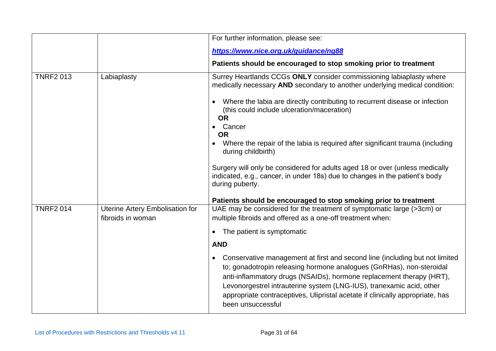|                  |                                                             | For further information, please see:                                                                                                                                                                                                                                                                                                                                                                                   |
|------------------|-------------------------------------------------------------|------------------------------------------------------------------------------------------------------------------------------------------------------------------------------------------------------------------------------------------------------------------------------------------------------------------------------------------------------------------------------------------------------------------------|
|                  |                                                             | https://www.nice.org.uk/guidance/ng88                                                                                                                                                                                                                                                                                                                                                                                  |
|                  |                                                             | Patients should be encouraged to stop smoking prior to treatment                                                                                                                                                                                                                                                                                                                                                       |
| <b>TNRF2 013</b> | Labiaplasty                                                 | Surrey Heartlands CCGs ONLY consider commissioning labiaplasty where<br>medically necessary AND secondary to another underlying medical condition:                                                                                                                                                                                                                                                                     |
|                  |                                                             | Where the labia are directly contributing to recurrent disease or infection<br>$\bullet$<br>(this could include ulceration/maceration)<br><b>OR</b><br>Cancer                                                                                                                                                                                                                                                          |
|                  |                                                             | <b>OR</b>                                                                                                                                                                                                                                                                                                                                                                                                              |
|                  |                                                             | Where the repair of the labia is required after significant trauma (including<br>during childbirth)                                                                                                                                                                                                                                                                                                                    |
|                  |                                                             | Surgery will only be considered for adults aged 18 or over (unless medically<br>indicated, e.g., cancer, in under 18s) due to changes in the patient's body<br>during puberty.                                                                                                                                                                                                                                         |
|                  |                                                             | Patients should be encouraged to stop smoking prior to treatment                                                                                                                                                                                                                                                                                                                                                       |
| <b>TNRF2 014</b> | <b>Uterine Artery Embolisation for</b><br>fibroids in woman | UAE may be considered for the treatment of symptomatic large (>3cm) or<br>multiple fibroids and offered as a one-off treatment when:                                                                                                                                                                                                                                                                                   |
|                  |                                                             | The patient is symptomatic<br>$\bullet$                                                                                                                                                                                                                                                                                                                                                                                |
|                  |                                                             | <b>AND</b>                                                                                                                                                                                                                                                                                                                                                                                                             |
|                  |                                                             | Conservative management at first and second line (including but not limited<br>$\bullet$<br>to; gonadotropin releasing hormone analogues (GnRHas), non-steroidal<br>anti-inflammatory drugs (NSAIDs), hormone replacement therapy (HRT),<br>Levonorgestrel intrauterine system (LNG-IUS), tranexamic acid, other<br>appropriate contraceptives, Ulipristal acetate if clinically appropriate, has<br>been unsuccessful |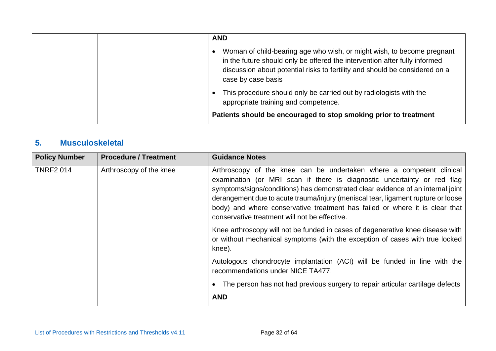| <b>AND</b>                                                                                                                                                                                                                                                |
|-----------------------------------------------------------------------------------------------------------------------------------------------------------------------------------------------------------------------------------------------------------|
| Woman of child-bearing age who wish, or might wish, to become pregnant<br>in the future should only be offered the intervention after fully informed<br>discussion about potential risks to fertility and should be considered on a<br>case by case basis |
| This procedure should only be carried out by radiologists with the<br>appropriate training and competence.<br>Patients should be encouraged to stop smoking prior to treatment                                                                            |

#### **5. Musculoskeletal**

| <b>Policy Number</b> | <b>Procedure / Treatment</b> | <b>Guidance Notes</b>                                                                                                                                                                                                                                                                                                                                                                                                                                  |
|----------------------|------------------------------|--------------------------------------------------------------------------------------------------------------------------------------------------------------------------------------------------------------------------------------------------------------------------------------------------------------------------------------------------------------------------------------------------------------------------------------------------------|
| <b>TNRF2 014</b>     | Arthroscopy of the knee      | Arthroscopy of the knee can be undertaken where a competent clinical<br>examination (or MRI scan if there is diagnostic uncertainty or red flag<br>symptoms/signs/conditions) has demonstrated clear evidence of an internal joint<br>derangement due to acute trauma/injury (meniscal tear, ligament rupture or loose<br>body) and where conservative treatment has failed or where it is clear that<br>conservative treatment will not be effective. |
|                      |                              | Knee arthroscopy will not be funded in cases of degenerative knee disease with<br>or without mechanical symptoms (with the exception of cases with true locked<br>knee).                                                                                                                                                                                                                                                                               |
|                      |                              | Autologous chondrocyte implantation (ACI) will be funded in line with the<br>recommendations under NICE TA477:                                                                                                                                                                                                                                                                                                                                         |
|                      |                              | The person has not had previous surgery to repair articular cartilage defects<br><b>AND</b>                                                                                                                                                                                                                                                                                                                                                            |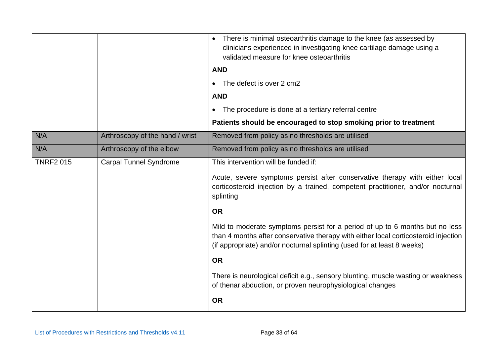|                  |                                 | There is minimal osteoarthritis damage to the knee (as assessed by<br>$\bullet$<br>clinicians experienced in investigating knee cartilage damage using a<br>validated measure for knee osteoarthritis                                          |
|------------------|---------------------------------|------------------------------------------------------------------------------------------------------------------------------------------------------------------------------------------------------------------------------------------------|
|                  |                                 | <b>AND</b>                                                                                                                                                                                                                                     |
|                  |                                 | The defect is over 2 cm2                                                                                                                                                                                                                       |
|                  |                                 | <b>AND</b>                                                                                                                                                                                                                                     |
|                  |                                 | The procedure is done at a tertiary referral centre<br>$\bullet$                                                                                                                                                                               |
|                  |                                 | Patients should be encouraged to stop smoking prior to treatment                                                                                                                                                                               |
| N/A              | Arthroscopy of the hand / wrist | Removed from policy as no thresholds are utilised                                                                                                                                                                                              |
| N/A              | Arthroscopy of the elbow        | Removed from policy as no thresholds are utilised                                                                                                                                                                                              |
| <b>TNRF2 015</b> | <b>Carpal Tunnel Syndrome</b>   | This intervention will be funded if:                                                                                                                                                                                                           |
|                  |                                 | Acute, severe symptoms persist after conservative therapy with either local<br>corticosteroid injection by a trained, competent practitioner, and/or nocturnal<br>splinting                                                                    |
|                  |                                 | <b>OR</b>                                                                                                                                                                                                                                      |
|                  |                                 | Mild to moderate symptoms persist for a period of up to 6 months but no less<br>than 4 months after conservative therapy with either local corticosteroid injection<br>(if appropriate) and/or nocturnal splinting (used for at least 8 weeks) |
|                  |                                 | <b>OR</b>                                                                                                                                                                                                                                      |
|                  |                                 | There is neurological deficit e.g., sensory blunting, muscle wasting or weakness<br>of thenar abduction, or proven neurophysiological changes                                                                                                  |
|                  |                                 | <b>OR</b>                                                                                                                                                                                                                                      |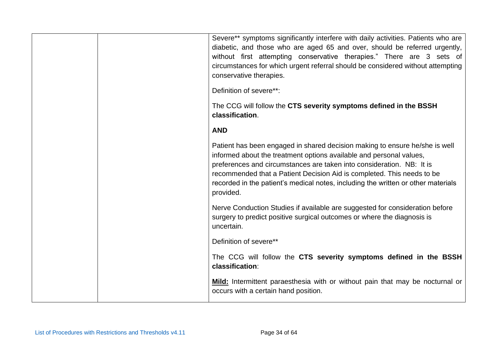| Severe** symptoms significantly interfere with daily activities. Patients who are<br>diabetic, and those who are aged 65 and over, should be referred urgently,<br>without first attempting conservative therapies." There are 3 sets of<br>circumstances for which urgent referral should be considered without attempting<br>conservative therapies.<br>Definition of severe**:<br>The CCG will follow the CTS severity symptoms defined in the BSSH<br>classification. |
|---------------------------------------------------------------------------------------------------------------------------------------------------------------------------------------------------------------------------------------------------------------------------------------------------------------------------------------------------------------------------------------------------------------------------------------------------------------------------|
| <b>AND</b>                                                                                                                                                                                                                                                                                                                                                                                                                                                                |
| Patient has been engaged in shared decision making to ensure he/she is well<br>informed about the treatment options available and personal values,<br>preferences and circumstances are taken into consideration. NB: It is<br>recommended that a Patient Decision Aid is completed. This needs to be<br>recorded in the patient's medical notes, including the written or other materials<br>provided.                                                                   |
| Nerve Conduction Studies if available are suggested for consideration before<br>surgery to predict positive surgical outcomes or where the diagnosis is<br>uncertain.                                                                                                                                                                                                                                                                                                     |
| Definition of severe**                                                                                                                                                                                                                                                                                                                                                                                                                                                    |
| The CCG will follow the CTS severity symptoms defined in the BSSH<br>classification:                                                                                                                                                                                                                                                                                                                                                                                      |
| Mild: Intermittent paraesthesia with or without pain that may be nocturnal or<br>occurs with a certain hand position.                                                                                                                                                                                                                                                                                                                                                     |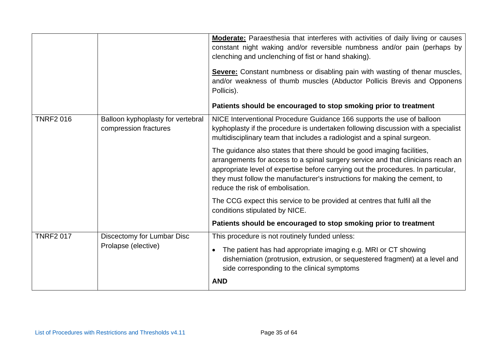|                  |                                                            | <b>Moderate:</b> Paraesthesia that interferes with activities of daily living or causes<br>constant night waking and/or reversible numbness and/or pain (perhaps by<br>clenching and unclenching of fist or hand shaking).<br>Severe: Constant numbness or disabling pain with wasting of thenar muscles,<br>and/or weakness of thumb muscles (Abductor Pollicis Brevis and Opponens<br>Pollicis).<br>Patients should be encouraged to stop smoking prior to treatment |
|------------------|------------------------------------------------------------|------------------------------------------------------------------------------------------------------------------------------------------------------------------------------------------------------------------------------------------------------------------------------------------------------------------------------------------------------------------------------------------------------------------------------------------------------------------------|
| <b>TNRF2 016</b> | Balloon kyphoplasty for vertebral<br>compression fractures | NICE Interventional Procedure Guidance 166 supports the use of balloon<br>kyphoplasty if the procedure is undertaken following discussion with a specialist<br>multidisciplinary team that includes a radiologist and a spinal surgeon.                                                                                                                                                                                                                                |
|                  |                                                            | The guidance also states that there should be good imaging facilities,<br>arrangements for access to a spinal surgery service and that clinicians reach an<br>appropriate level of expertise before carrying out the procedures. In particular,<br>they must follow the manufacturer's instructions for making the cement, to<br>reduce the risk of embolisation.                                                                                                      |
|                  |                                                            | The CCG expect this service to be provided at centres that fulfil all the<br>conditions stipulated by NICE.                                                                                                                                                                                                                                                                                                                                                            |
|                  |                                                            | Patients should be encouraged to stop smoking prior to treatment                                                                                                                                                                                                                                                                                                                                                                                                       |
| <b>TNRF2 017</b> | Discectomy for Lumbar Disc<br>Prolapse (elective)          | This procedure is not routinely funded unless:<br>The patient has had appropriate imaging e.g. MRI or CT showing<br>disherniation (protrusion, extrusion, or sequestered fragment) at a level and<br>side corresponding to the clinical symptoms                                                                                                                                                                                                                       |
|                  |                                                            | <b>AND</b>                                                                                                                                                                                                                                                                                                                                                                                                                                                             |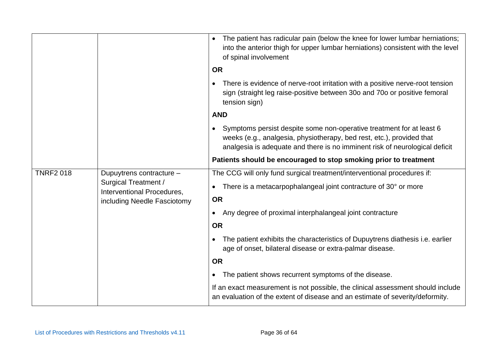|                  |                                                                                                                                                                                                                              | The patient has radicular pain (below the knee for lower lumbar herniations;<br>into the anterior thigh for upper lumbar herniations) consistent with the level<br>of spinal involvement |
|------------------|------------------------------------------------------------------------------------------------------------------------------------------------------------------------------------------------------------------------------|------------------------------------------------------------------------------------------------------------------------------------------------------------------------------------------|
|                  | <b>OR</b>                                                                                                                                                                                                                    |                                                                                                                                                                                          |
|                  |                                                                                                                                                                                                                              | There is evidence of nerve-root irritation with a positive nerve-root tension<br>$\bullet$<br>sign (straight leg raise-positive between 30o and 70o or positive femoral<br>tension sign) |
|                  |                                                                                                                                                                                                                              | <b>AND</b>                                                                                                                                                                               |
|                  | Symptoms persist despite some non-operative treatment for at least 6<br>weeks (e.g., analgesia, physiotherapy, bed rest, etc.), provided that<br>analgesia is adequate and there is no imminent risk of neurological deficit |                                                                                                                                                                                          |
|                  |                                                                                                                                                                                                                              | Patients should be encouraged to stop smoking prior to treatment                                                                                                                         |
| <b>TNRF2 018</b> | Dupuytrens contracture -                                                                                                                                                                                                     | The CCG will only fund surgical treatment/interventional procedures if:                                                                                                                  |
|                  | <b>Surgical Treatment /</b><br>Interventional Procedures,                                                                                                                                                                    | There is a metacarpophalangeal joint contracture of 30° or more<br>$\bullet$                                                                                                             |
|                  | including Needle Fasciotomy                                                                                                                                                                                                  | <b>OR</b>                                                                                                                                                                                |
|                  |                                                                                                                                                                                                                              | Any degree of proximal interphalangeal joint contracture<br>$\bullet$                                                                                                                    |
|                  |                                                                                                                                                                                                                              | <b>OR</b>                                                                                                                                                                                |
|                  | The patient exhibits the characteristics of Dupuytrens diathesis i.e. earlier<br>age of onset, bilateral disease or extra-palmar disease.                                                                                    |                                                                                                                                                                                          |
|                  |                                                                                                                                                                                                                              | <b>OR</b>                                                                                                                                                                                |
|                  |                                                                                                                                                                                                                              | The patient shows recurrent symptoms of the disease.                                                                                                                                     |
|                  |                                                                                                                                                                                                                              | If an exact measurement is not possible, the clinical assessment should include<br>an evaluation of the extent of disease and an estimate of severity/deformity.                         |
|                  |                                                                                                                                                                                                                              |                                                                                                                                                                                          |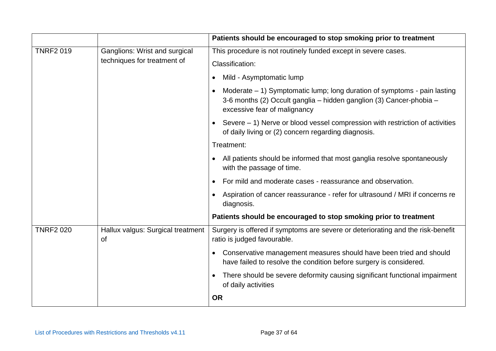|                  |                                                              | Patients should be encouraged to stop smoking prior to treatment                                                                                                                  |
|------------------|--------------------------------------------------------------|-----------------------------------------------------------------------------------------------------------------------------------------------------------------------------------|
| <b>TNRF2 019</b> | Ganglions: Wrist and surgical<br>techniques for treatment of | This procedure is not routinely funded except in severe cases.                                                                                                                    |
|                  |                                                              | Classification:                                                                                                                                                                   |
|                  |                                                              | Mild - Asymptomatic lump<br>$\bullet$                                                                                                                                             |
|                  |                                                              | Moderate $-1$ ) Symptomatic lump; long duration of symptoms - pain lasting<br>3-6 months (2) Occult ganglia - hidden ganglion (3) Cancer-phobia -<br>excessive fear of malignancy |
|                  |                                                              | Severe $-1$ ) Nerve or blood vessel compression with restriction of activities<br>of daily living or (2) concern regarding diagnosis.                                             |
|                  |                                                              | Treatment:                                                                                                                                                                        |
|                  |                                                              | All patients should be informed that most ganglia resolve spontaneously<br>$\bullet$<br>with the passage of time.                                                                 |
|                  |                                                              | For mild and moderate cases - reassurance and observation.<br>$\bullet$                                                                                                           |
|                  |                                                              | Aspiration of cancer reassurance - refer for ultrasound / MRI if concerns re<br>$\bullet$<br>diagnosis.                                                                           |
|                  |                                                              | Patients should be encouraged to stop smoking prior to treatment                                                                                                                  |
| <b>TNRF2 020</b> | Hallux valgus: Surgical treatment<br><b>of</b>               | Surgery is offered if symptoms are severe or deteriorating and the risk-benefit<br>ratio is judged favourable.                                                                    |
|                  |                                                              | Conservative management measures should have been tried and should<br>$\bullet$<br>have failed to resolve the condition before surgery is considered.                             |
|                  |                                                              | There should be severe deformity causing significant functional impairment<br>$\bullet$<br>of daily activities                                                                    |
|                  |                                                              | <b>OR</b>                                                                                                                                                                         |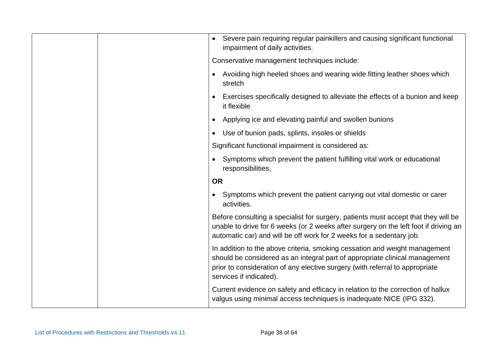|  | Severe pain requiring regular painkillers and causing significant functional<br>impairment of daily activities.                                                                                                                                                      |
|--|----------------------------------------------------------------------------------------------------------------------------------------------------------------------------------------------------------------------------------------------------------------------|
|  | Conservative management techniques include:                                                                                                                                                                                                                          |
|  | Avoiding high heeled shoes and wearing wide fitting leather shoes which<br>stretch                                                                                                                                                                                   |
|  | Exercises specifically designed to alleviate the effects of a bunion and keep<br>it flexible                                                                                                                                                                         |
|  | Applying ice and elevating painful and swollen bunions                                                                                                                                                                                                               |
|  | Use of bunion pads, splints, insoles or shields                                                                                                                                                                                                                      |
|  | Significant functional impairment is considered as:                                                                                                                                                                                                                  |
|  | Symptoms which prevent the patient fulfilling vital work or educational<br>responsibilities,                                                                                                                                                                         |
|  | <b>OR</b>                                                                                                                                                                                                                                                            |
|  | Symptoms which prevent the patient carrying out vital domestic or carer<br>activities.                                                                                                                                                                               |
|  | Before consulting a specialist for surgery, patients must accept that they will be<br>unable to drive for 6 weeks (or 2 weeks after surgery on the left foot if driving an<br>automatic car) and will be off work for 2 weeks for a sedentary job.                   |
|  | In addition to the above criteria, smoking cessation and weight management<br>should be considered as an integral part of appropriate clinical management<br>prior to consideration of any elective surgery (with referral to appropriate<br>services if indicated). |
|  | Current evidence on safety and efficacy in relation to the correction of hallux<br>valgus using minimal access techniques is inadequate NICE (IPG 332).                                                                                                              |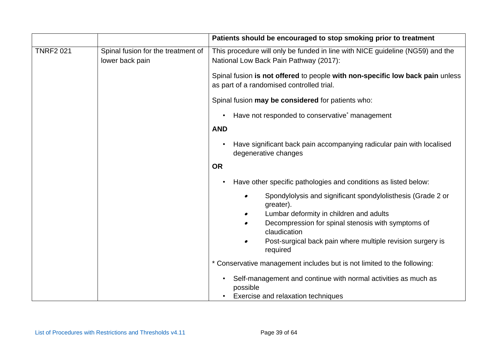|                                                       | Patients should be encouraged to stop smoking prior to treatment                                                           |
|-------------------------------------------------------|----------------------------------------------------------------------------------------------------------------------------|
| Spinal fusion for the treatment of<br>lower back pain | This procedure will only be funded in line with NICE guideline (NG59) and the<br>National Low Back Pain Pathway (2017):    |
|                                                       | Spinal fusion is not offered to people with non-specific low back pain unless<br>as part of a randomised controlled trial. |
|                                                       | Spinal fusion may be considered for patients who:                                                                          |
|                                                       | Have not responded to conservative* management                                                                             |
|                                                       | <b>AND</b>                                                                                                                 |
|                                                       | Have significant back pain accompanying radicular pain with localised<br>degenerative changes                              |
|                                                       | <b>OR</b>                                                                                                                  |
|                                                       | Have other specific pathologies and conditions as listed below:                                                            |
|                                                       | Spondylolysis and significant spondylolisthesis (Grade 2 or<br>$\bullet$<br>greater).                                      |
|                                                       | Lumbar deformity in children and adults<br>$\bullet$                                                                       |
|                                                       | Decompression for spinal stenosis with symptoms of<br>claudication                                                         |
|                                                       | Post-surgical back pain where multiple revision surgery is<br>required                                                     |
|                                                       | * Conservative management includes but is not limited to the following:                                                    |
|                                                       | Self-management and continue with normal activities as much as<br>possible<br>Exercise and relaxation techniques           |
|                                                       |                                                                                                                            |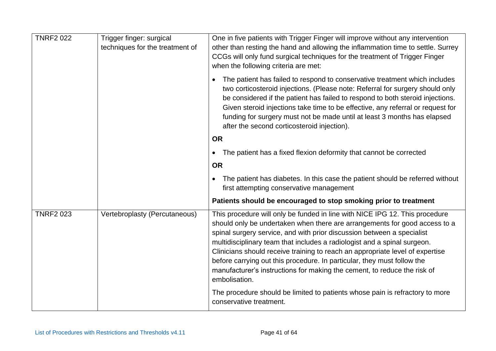| <b>TNRF2 022</b> | Trigger finger: surgical<br>techniques for the treatment of | One in five patients with Trigger Finger will improve without any intervention<br>other than resting the hand and allowing the inflammation time to settle. Surrey<br>CCGs will only fund surgical techniques for the treatment of Trigger Finger<br>when the following criteria are met:                                                                                                                                                                                                                                                                                |
|------------------|-------------------------------------------------------------|--------------------------------------------------------------------------------------------------------------------------------------------------------------------------------------------------------------------------------------------------------------------------------------------------------------------------------------------------------------------------------------------------------------------------------------------------------------------------------------------------------------------------------------------------------------------------|
|                  |                                                             | The patient has failed to respond to conservative treatment which includes<br>$\bullet$<br>two corticosteroid injections. (Please note: Referral for surgery should only<br>be considered if the patient has failed to respond to both steroid injections.<br>Given steroid injections take time to be effective, any referral or request for<br>funding for surgery must not be made until at least 3 months has elapsed<br>after the second corticosteroid injection).                                                                                                 |
|                  |                                                             | <b>OR</b>                                                                                                                                                                                                                                                                                                                                                                                                                                                                                                                                                                |
|                  |                                                             | The patient has a fixed flexion deformity that cannot be corrected<br>$\bullet$                                                                                                                                                                                                                                                                                                                                                                                                                                                                                          |
|                  |                                                             | <b>OR</b>                                                                                                                                                                                                                                                                                                                                                                                                                                                                                                                                                                |
|                  |                                                             | The patient has diabetes. In this case the patient should be referred without<br>first attempting conservative management                                                                                                                                                                                                                                                                                                                                                                                                                                                |
|                  |                                                             | Patients should be encouraged to stop smoking prior to treatment                                                                                                                                                                                                                                                                                                                                                                                                                                                                                                         |
| <b>TNRF2 023</b> | Vertebroplasty (Percutaneous)                               | This procedure will only be funded in line with NICE IPG 12. This procedure<br>should only be undertaken when there are arrangements for good access to a<br>spinal surgery service, and with prior discussion between a specialist<br>multidisciplinary team that includes a radiologist and a spinal surgeon.<br>Clinicians should receive training to reach an appropriate level of expertise<br>before carrying out this procedure. In particular, they must follow the<br>manufacturer's instructions for making the cement, to reduce the risk of<br>embolisation. |
|                  |                                                             | The procedure should be limited to patients whose pain is refractory to more<br>conservative treatment.                                                                                                                                                                                                                                                                                                                                                                                                                                                                  |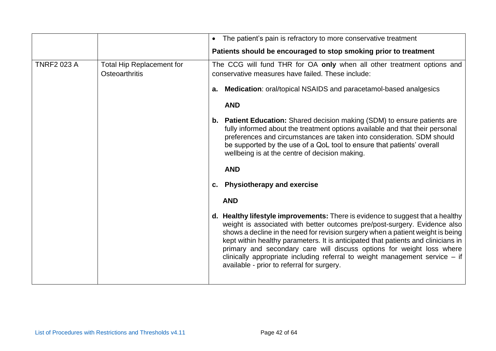|                    |                                                           | The patient's pain is refractory to more conservative treatment                                                                                                                                                                                                                                                                                                                                                                                                                                                                             |
|--------------------|-----------------------------------------------------------|---------------------------------------------------------------------------------------------------------------------------------------------------------------------------------------------------------------------------------------------------------------------------------------------------------------------------------------------------------------------------------------------------------------------------------------------------------------------------------------------------------------------------------------------|
|                    |                                                           | Patients should be encouraged to stop smoking prior to treatment                                                                                                                                                                                                                                                                                                                                                                                                                                                                            |
| <b>TNRF2 023 A</b> | <b>Total Hip Replacement for</b><br><b>Osteoarthritis</b> | The CCG will fund THR for OA only when all other treatment options and<br>conservative measures have failed. These include:<br>a. Medication: oral/topical NSAIDS and paracetamol-based analgesics<br><b>AND</b><br><b>b.</b> Patient Education: Shared decision making (SDM) to ensure patients are<br>fully informed about the treatment options available and that their personal<br>preferences and circumstances are taken into consideration. SDM should                                                                              |
|                    |                                                           | be supported by the use of a QoL tool to ensure that patients' overall<br>wellbeing is at the centre of decision making.<br><b>AND</b>                                                                                                                                                                                                                                                                                                                                                                                                      |
|                    |                                                           | c. Physiotherapy and exercise                                                                                                                                                                                                                                                                                                                                                                                                                                                                                                               |
|                    |                                                           | <b>AND</b>                                                                                                                                                                                                                                                                                                                                                                                                                                                                                                                                  |
|                    |                                                           | d. Healthy lifestyle improvements: There is evidence to suggest that a healthy<br>weight is associated with better outcomes pre/post-surgery. Evidence also<br>shows a decline in the need for revision surgery when a patient weight is being<br>kept within healthy parameters. It is anticipated that patients and clinicians in<br>primary and secondary care will discuss options for weight loss where<br>clinically appropriate including referral to weight management service $-$ if<br>available - prior to referral for surgery. |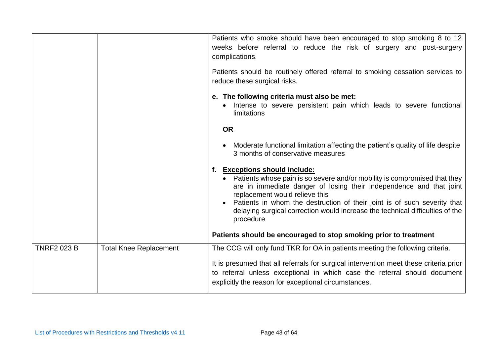|                    |                               | Patients who smoke should have been encouraged to stop smoking 8 to 12<br>weeks before referral to reduce the risk of surgery and post-surgery<br>complications.<br>Patients should be routinely offered referral to smoking cessation services to<br>reduce these surgical risks.                |
|--------------------|-------------------------------|---------------------------------------------------------------------------------------------------------------------------------------------------------------------------------------------------------------------------------------------------------------------------------------------------|
|                    |                               | e. The following criteria must also be met:<br>Intense to severe persistent pain which leads to severe functional<br>limitations                                                                                                                                                                  |
|                    |                               | <b>OR</b>                                                                                                                                                                                                                                                                                         |
|                    |                               | • Moderate functional limitation affecting the patient's quality of life despite<br>3 months of conservative measures                                                                                                                                                                             |
|                    |                               | f. Exceptions should include:<br>• Patients whose pain is so severe and/or mobility is compromised that they<br>are in immediate danger of losing their independence and that joint<br>replacement would relieve this<br>Patients in whom the destruction of their joint is of such severity that |
|                    |                               | delaying surgical correction would increase the technical difficulties of the<br>procedure                                                                                                                                                                                                        |
|                    |                               | Patients should be encouraged to stop smoking prior to treatment                                                                                                                                                                                                                                  |
| <b>TNRF2 023 B</b> | <b>Total Knee Replacement</b> | The CCG will only fund TKR for OA in patients meeting the following criteria.                                                                                                                                                                                                                     |
|                    |                               | It is presumed that all referrals for surgical intervention meet these criteria prior<br>to referral unless exceptional in which case the referral should document<br>explicitly the reason for exceptional circumstances.                                                                        |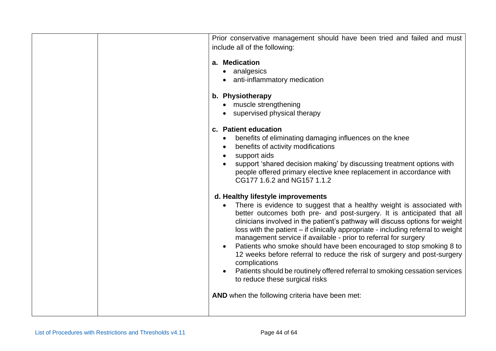| Prior conservative management should have been tried and failed and must<br>include all of the following:                                                                                                                                                                                                                                                                                                                                                                                                                                                                                                                                                                                                                                                                                                                                                                                                                                                                                                                                                                                 |
|-------------------------------------------------------------------------------------------------------------------------------------------------------------------------------------------------------------------------------------------------------------------------------------------------------------------------------------------------------------------------------------------------------------------------------------------------------------------------------------------------------------------------------------------------------------------------------------------------------------------------------------------------------------------------------------------------------------------------------------------------------------------------------------------------------------------------------------------------------------------------------------------------------------------------------------------------------------------------------------------------------------------------------------------------------------------------------------------|
| a. Medication<br>• analgesics<br>• anti-inflammatory medication                                                                                                                                                                                                                                                                                                                                                                                                                                                                                                                                                                                                                                                                                                                                                                                                                                                                                                                                                                                                                           |
| b. Physiotherapy<br>• muscle strengthening<br>• supervised physical therapy                                                                                                                                                                                                                                                                                                                                                                                                                                                                                                                                                                                                                                                                                                                                                                                                                                                                                                                                                                                                               |
| c. Patient education<br>benefits of eliminating damaging influences on the knee<br>benefits of activity modifications<br>support aids<br>support 'shared decision making' by discussing treatment options with<br>people offered primary elective knee replacement in accordance with<br>CG177 1.6.2 and NG157 1.1.2<br>d. Healthy lifestyle improvements<br>There is evidence to suggest that a healthy weight is associated with<br>better outcomes both pre- and post-surgery. It is anticipated that all<br>clinicians involved in the patient's pathway will discuss options for weight<br>loss with the patient – if clinically appropriate - including referral to weight<br>management service if available - prior to referral for surgery<br>Patients who smoke should have been encouraged to stop smoking 8 to<br>12 weeks before referral to reduce the risk of surgery and post-surgery<br>complications<br>Patients should be routinely offered referral to smoking cessation services<br>to reduce these surgical risks<br>AND when the following criteria have been met: |
|                                                                                                                                                                                                                                                                                                                                                                                                                                                                                                                                                                                                                                                                                                                                                                                                                                                                                                                                                                                                                                                                                           |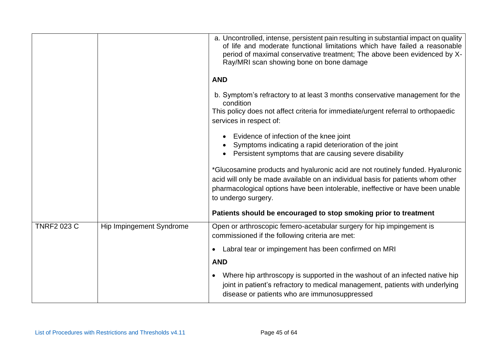|                    |                          | a. Uncontrolled, intense, persistent pain resulting in substantial impact on quality<br>of life and moderate functional limitations which have failed a reasonable<br>period of maximal conservative treatment; The above been evidenced by X-<br>Ray/MRI scan showing bone on bone damage |
|--------------------|--------------------------|--------------------------------------------------------------------------------------------------------------------------------------------------------------------------------------------------------------------------------------------------------------------------------------------|
|                    |                          | <b>AND</b>                                                                                                                                                                                                                                                                                 |
|                    |                          | b. Symptom's refractory to at least 3 months conservative management for the<br>condition<br>This policy does not affect criteria for immediate/urgent referral to orthopaedic<br>services in respect of:                                                                                  |
|                    |                          | Evidence of infection of the knee joint<br>Symptoms indicating a rapid deterioration of the joint<br>Persistent symptoms that are causing severe disability                                                                                                                                |
|                    |                          | *Glucosamine products and hyaluronic acid are not routinely funded. Hyaluronic<br>acid will only be made available on an individual basis for patients whom other<br>pharmacological options have been intolerable, ineffective or have been unable<br>to undergo surgery.                 |
|                    |                          | Patients should be encouraged to stop smoking prior to treatment                                                                                                                                                                                                                           |
| <b>TNRF2 023 C</b> | Hip Impingement Syndrome | Open or arthroscopic femero-acetabular surgery for hip impingement is<br>commissioned if the following criteria are met:                                                                                                                                                                   |
|                    |                          | Labral tear or impingement has been confirmed on MRI                                                                                                                                                                                                                                       |
|                    |                          | <b>AND</b>                                                                                                                                                                                                                                                                                 |
|                    |                          | Where hip arthroscopy is supported in the washout of an infected native hip<br>joint in patient's refractory to medical management, patients with underlying<br>disease or patients who are immunosuppressed                                                                               |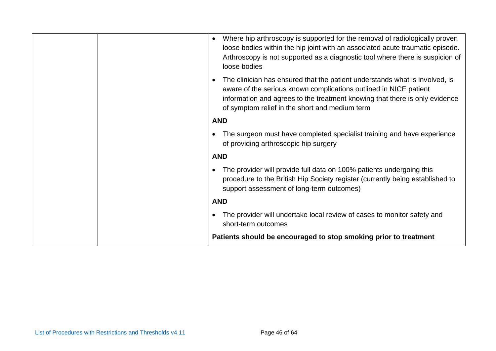|  | Where hip arthroscopy is supported for the removal of radiologically proven<br>$\bullet$<br>loose bodies within the hip joint with an associated acute traumatic episode.<br>Arthroscopy is not supported as a diagnostic tool where there is suspicion of<br>loose bodies        |
|--|-----------------------------------------------------------------------------------------------------------------------------------------------------------------------------------------------------------------------------------------------------------------------------------|
|  | The clinician has ensured that the patient understands what is involved, is<br>aware of the serious known complications outlined in NICE patient<br>information and agrees to the treatment knowing that there is only evidence<br>of symptom relief in the short and medium term |
|  | <b>AND</b>                                                                                                                                                                                                                                                                        |
|  | The surgeon must have completed specialist training and have experience<br>of providing arthroscopic hip surgery                                                                                                                                                                  |
|  | <b>AND</b>                                                                                                                                                                                                                                                                        |
|  | The provider will provide full data on 100% patients undergoing this<br>procedure to the British Hip Society register (currently being established to<br>support assessment of long-term outcomes)                                                                                |
|  | <b>AND</b>                                                                                                                                                                                                                                                                        |
|  | The provider will undertake local review of cases to monitor safety and<br>short-term outcomes                                                                                                                                                                                    |
|  | Patients should be encouraged to stop smoking prior to treatment                                                                                                                                                                                                                  |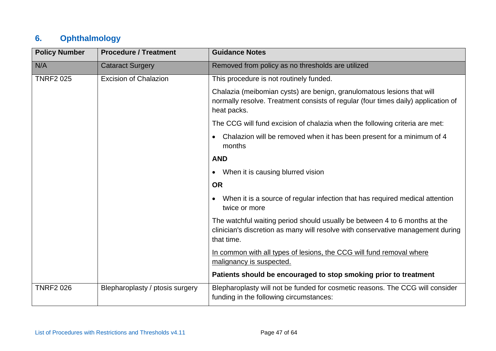## **6. Ophthalmology**

| <b>Policy Number</b> | <b>Procedure / Treatment</b>    | <b>Guidance Notes</b>                                                                                                                                                       |
|----------------------|---------------------------------|-----------------------------------------------------------------------------------------------------------------------------------------------------------------------------|
| N/A                  | <b>Cataract Surgery</b>         | Removed from policy as no thresholds are utilized                                                                                                                           |
| <b>TNRF2 025</b>     | <b>Excision of Chalazion</b>    | This procedure is not routinely funded.                                                                                                                                     |
|                      |                                 | Chalazia (meibomian cysts) are benign, granulomatous lesions that will<br>normally resolve. Treatment consists of regular (four times daily) application of<br>heat packs.  |
|                      |                                 | The CCG will fund excision of chalazia when the following criteria are met:                                                                                                 |
|                      |                                 | Chalazion will be removed when it has been present for a minimum of 4<br>months                                                                                             |
|                      |                                 | <b>AND</b>                                                                                                                                                                  |
|                      |                                 | When it is causing blurred vision<br>$\bullet$                                                                                                                              |
|                      |                                 | <b>OR</b>                                                                                                                                                                   |
|                      |                                 | When it is a source of regular infection that has required medical attention<br>$\bullet$<br>twice or more                                                                  |
|                      |                                 | The watchful waiting period should usually be between 4 to 6 months at the<br>clinician's discretion as many will resolve with conservative management during<br>that time. |
|                      |                                 | In common with all types of lesions, the CCG will fund removal where<br>malignancy is suspected.                                                                            |
|                      |                                 | Patients should be encouraged to stop smoking prior to treatment                                                                                                            |
| <b>TNRF2 026</b>     | Blepharoplasty / ptosis surgery | Blepharoplasty will not be funded for cosmetic reasons. The CCG will consider<br>funding in the following circumstances:                                                    |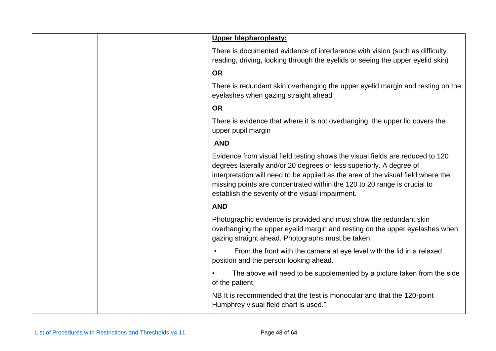|  | Upper blepharoplasty:                                                                                                                                                                                                                                                                                                                                                    |
|--|--------------------------------------------------------------------------------------------------------------------------------------------------------------------------------------------------------------------------------------------------------------------------------------------------------------------------------------------------------------------------|
|  | There is documented evidence of interference with vision (such as difficulty<br>reading, driving, looking through the eyelids or seeing the upper eyelid skin)                                                                                                                                                                                                           |
|  | <b>OR</b>                                                                                                                                                                                                                                                                                                                                                                |
|  | There is redundant skin overhanging the upper eyelid margin and resting on the<br>eyelashes when gazing straight ahead                                                                                                                                                                                                                                                   |
|  | <b>OR</b>                                                                                                                                                                                                                                                                                                                                                                |
|  | There is evidence that where it is not overhanging, the upper lid covers the<br>upper pupil margin                                                                                                                                                                                                                                                                       |
|  | <b>AND</b>                                                                                                                                                                                                                                                                                                                                                               |
|  | Evidence from visual field testing shows the visual fields are reduced to 120<br>degrees laterally and/or 20 degrees or less superiorly. A degree of<br>interpretation will need to be applied as the area of the visual field where the<br>missing points are concentrated within the 120 to 20 range is crucial to<br>establish the severity of the visual impairment. |
|  | <b>AND</b>                                                                                                                                                                                                                                                                                                                                                               |
|  | Photographic evidence is provided and must show the redundant skin<br>overhanging the upper eyelid margin and resting on the upper eyelashes when<br>gazing straight ahead. Photographs must be taken:                                                                                                                                                                   |
|  | From the front with the camera at eye level with the lid in a relaxed<br>position and the person looking ahead.                                                                                                                                                                                                                                                          |
|  | The above will need to be supplemented by a picture taken from the side<br>of the patient.                                                                                                                                                                                                                                                                               |
|  | NB It is recommended that the test is monocular and that the 120-point<br>Humphrey visual field chart is used."                                                                                                                                                                                                                                                          |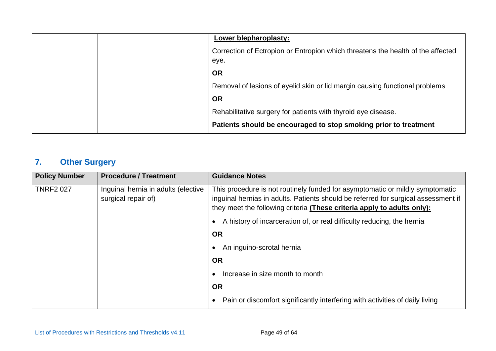|  | Lower blepharoplasty:                                                                   |
|--|-----------------------------------------------------------------------------------------|
|  | Correction of Ectropion or Entropion which threatens the health of the affected<br>eye. |
|  | <b>OR</b>                                                                               |
|  | Removal of lesions of eyelid skin or lid margin causing functional problems             |
|  | <b>OR</b>                                                                               |
|  | Rehabilitative surgery for patients with thyroid eye disease.                           |
|  | Patients should be encouraged to stop smoking prior to treatment                        |

# **7. Other Surgery**

| <b>Policy Number</b> | <b>Procedure / Treatment</b>                               | <b>Guidance Notes</b>                                                                                                                                                                                                                          |
|----------------------|------------------------------------------------------------|------------------------------------------------------------------------------------------------------------------------------------------------------------------------------------------------------------------------------------------------|
| <b>TNRF2 027</b>     | Inguinal hernia in adults (elective<br>surgical repair of) | This procedure is not routinely funded for asymptomatic or mildly symptomatic<br>inguinal hernias in adults. Patients should be referred for surgical assessment if<br>they meet the following criteria (These criteria apply to adults only): |
|                      |                                                            | A history of incarceration of, or real difficulty reducing, the hernia                                                                                                                                                                         |
|                      |                                                            | <b>OR</b>                                                                                                                                                                                                                                      |
|                      |                                                            | An inguino-scrotal hernia                                                                                                                                                                                                                      |
|                      |                                                            | <b>OR</b>                                                                                                                                                                                                                                      |
|                      |                                                            | Increase in size month to month                                                                                                                                                                                                                |
|                      |                                                            | <b>OR</b>                                                                                                                                                                                                                                      |
|                      |                                                            | Pain or discomfort significantly interfering with activities of daily living                                                                                                                                                                   |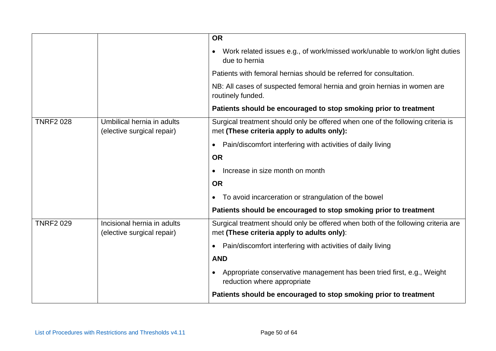|                  |                                                           | <b>OR</b>                                                                                                                       |
|------------------|-----------------------------------------------------------|---------------------------------------------------------------------------------------------------------------------------------|
|                  |                                                           | Work related issues e.g., of work/missed work/unable to work/on light duties<br>due to hernia                                   |
|                  |                                                           | Patients with femoral hernias should be referred for consultation.                                                              |
|                  |                                                           | NB: All cases of suspected femoral hernia and groin hernias in women are<br>routinely funded.                                   |
|                  |                                                           | Patients should be encouraged to stop smoking prior to treatment                                                                |
| <b>TNRF2 028</b> | Umbilical hernia in adults<br>(elective surgical repair)  | Surgical treatment should only be offered when one of the following criteria is<br>met (These criteria apply to adults only):   |
|                  |                                                           | Pain/discomfort interfering with activities of daily living                                                                     |
|                  |                                                           | <b>OR</b>                                                                                                                       |
|                  |                                                           | Increase in size month on month<br>$\bullet$                                                                                    |
|                  |                                                           | <b>OR</b>                                                                                                                       |
|                  |                                                           | To avoid incarceration or strangulation of the bowel<br>$\bullet$                                                               |
|                  |                                                           | Patients should be encouraged to stop smoking prior to treatment                                                                |
| <b>TNRF2 029</b> | Incisional hernia in adults<br>(elective surgical repair) | Surgical treatment should only be offered when both of the following criteria are<br>met (These criteria apply to adults only): |
|                  |                                                           | Pain/discomfort interfering with activities of daily living<br>$\bullet$                                                        |
|                  |                                                           | <b>AND</b>                                                                                                                      |
|                  |                                                           | Appropriate conservative management has been tried first, e.g., Weight<br>reduction where appropriate                           |
|                  |                                                           | Patients should be encouraged to stop smoking prior to treatment                                                                |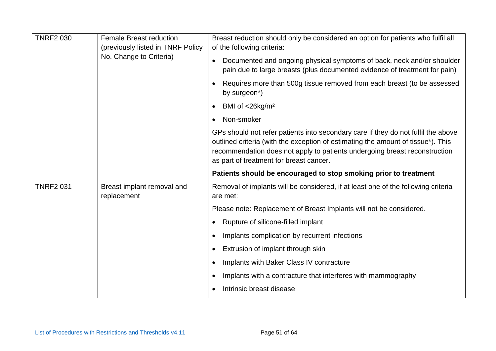| <b>TNRF2 030</b> | <b>Female Breast reduction</b><br>(previously listed in TNRF Policy<br>No. Change to Criteria) | Breast reduction should only be considered an option for patients who fulfil all<br>of the following criteria:                                                                                                                                                                                 |
|------------------|------------------------------------------------------------------------------------------------|------------------------------------------------------------------------------------------------------------------------------------------------------------------------------------------------------------------------------------------------------------------------------------------------|
|                  |                                                                                                | Documented and ongoing physical symptoms of back, neck and/or shoulder<br>pain due to large breasts (plus documented evidence of treatment for pain)                                                                                                                                           |
|                  |                                                                                                | Requires more than 500g tissue removed from each breast (to be assessed<br>$\bullet$<br>by surgeon*)                                                                                                                                                                                           |
|                  |                                                                                                | BMI of $<$ 26kg/m <sup>2</sup><br>$\bullet$                                                                                                                                                                                                                                                    |
|                  |                                                                                                | Non-smoker<br>$\bullet$                                                                                                                                                                                                                                                                        |
|                  |                                                                                                | GPs should not refer patients into secondary care if they do not fulfil the above<br>outlined criteria (with the exception of estimating the amount of tissue*). This<br>recommendation does not apply to patients undergoing breast reconstruction<br>as part of treatment for breast cancer. |
|                  |                                                                                                | Patients should be encouraged to stop smoking prior to treatment                                                                                                                                                                                                                               |
|                  |                                                                                                |                                                                                                                                                                                                                                                                                                |
| <b>TNRF2 031</b> | Breast implant removal and<br>replacement                                                      | Removal of implants will be considered, if at least one of the following criteria<br>are met:                                                                                                                                                                                                  |
|                  |                                                                                                | Please note: Replacement of Breast Implants will not be considered.                                                                                                                                                                                                                            |
|                  |                                                                                                | Rupture of silicone-filled implant<br>$\bullet$                                                                                                                                                                                                                                                |
|                  |                                                                                                | Implants complication by recurrent infections<br>$\bullet$                                                                                                                                                                                                                                     |
|                  |                                                                                                | Extrusion of implant through skin<br>$\bullet$                                                                                                                                                                                                                                                 |
|                  |                                                                                                | Implants with Baker Class IV contracture<br>$\bullet$                                                                                                                                                                                                                                          |
|                  |                                                                                                | Implants with a contracture that interferes with mammography<br>$\bullet$                                                                                                                                                                                                                      |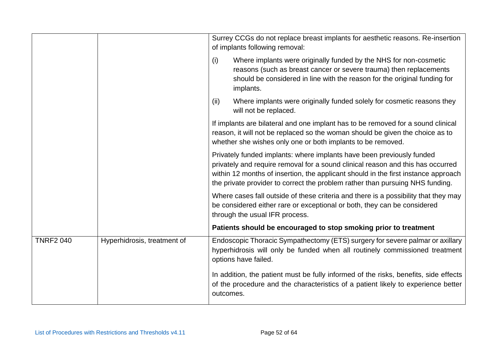|                  |                             |           | Surrey CCGs do not replace breast implants for aesthetic reasons. Re-insertion<br>of implants following removal:                                                                                                                                                                                                                |
|------------------|-----------------------------|-----------|---------------------------------------------------------------------------------------------------------------------------------------------------------------------------------------------------------------------------------------------------------------------------------------------------------------------------------|
|                  |                             | (i)       | Where implants were originally funded by the NHS for non-cosmetic<br>reasons (such as breast cancer or severe trauma) then replacements<br>should be considered in line with the reason for the original funding for<br>implants.                                                                                               |
|                  |                             | (ii)      | Where implants were originally funded solely for cosmetic reasons they<br>will not be replaced.                                                                                                                                                                                                                                 |
|                  |                             |           | If implants are bilateral and one implant has to be removed for a sound clinical<br>reason, it will not be replaced so the woman should be given the choice as to<br>whether she wishes only one or both implants to be removed.                                                                                                |
|                  |                             |           | Privately funded implants: where implants have been previously funded<br>privately and require removal for a sound clinical reason and this has occurred<br>within 12 months of insertion, the applicant should in the first instance approach<br>the private provider to correct the problem rather than pursuing NHS funding. |
|                  |                             |           | Where cases fall outside of these criteria and there is a possibility that they may<br>be considered either rare or exceptional or both, they can be considered<br>through the usual IFR process.                                                                                                                               |
|                  |                             |           | Patients should be encouraged to stop smoking prior to treatment                                                                                                                                                                                                                                                                |
| <b>TNRF2 040</b> | Hyperhidrosis, treatment of |           | Endoscopic Thoracic Sympathectomy (ETS) surgery for severe palmar or axillary<br>hyperhidrosis will only be funded when all routinely commissioned treatment<br>options have failed.                                                                                                                                            |
|                  |                             | outcomes. | In addition, the patient must be fully informed of the risks, benefits, side effects<br>of the procedure and the characteristics of a patient likely to experience better                                                                                                                                                       |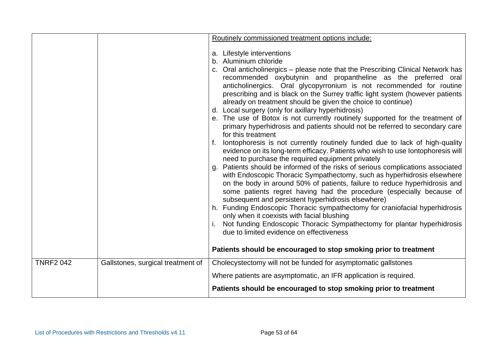|                  |                                   | Routinely commissioned treatment options include:                                                                                                                                                                                                                                                                                                                                                                                                                                                                                                                                                                                                                                                      |
|------------------|-----------------------------------|--------------------------------------------------------------------------------------------------------------------------------------------------------------------------------------------------------------------------------------------------------------------------------------------------------------------------------------------------------------------------------------------------------------------------------------------------------------------------------------------------------------------------------------------------------------------------------------------------------------------------------------------------------------------------------------------------------|
|                  |                                   |                                                                                                                                                                                                                                                                                                                                                                                                                                                                                                                                                                                                                                                                                                        |
|                  |                                   | a. Lifestyle interventions                                                                                                                                                                                                                                                                                                                                                                                                                                                                                                                                                                                                                                                                             |
|                  |                                   | b. Aluminium chloride                                                                                                                                                                                                                                                                                                                                                                                                                                                                                                                                                                                                                                                                                  |
|                  |                                   | c. Oral anticholinergics – please note that the Prescribing Clinical Network has<br>recommended oxybutynin and propantheline as the preferred oral<br>anticholinergics. Oral glycopyrronium is not recommended for routine<br>prescribing and is black on the Surrey traffic light system (however patients<br>already on treatment should be given the choice to continue)<br>d. Local surgery (only for axillary hyperhidrosis)<br>e. The use of Botox is not currently routinely supported for the treatment of<br>primary hyperhidrosis and patients should not be referred to secondary care<br>for this treatment<br>lontophoresis is not currently routinely funded due to lack of high-quality |
|                  |                                   | evidence on its long-term efficacy. Patients who wish to use lontophoresis will<br>need to purchase the required equipment privately                                                                                                                                                                                                                                                                                                                                                                                                                                                                                                                                                                   |
|                  |                                   | Patients should be informed of the risks of serious complications associated<br>g.<br>with Endoscopic Thoracic Sympathectomy, such as hyperhidrosis elsewhere<br>on the body in around 50% of patients, failure to reduce hyperhidrosis and<br>some patients regret having had the procedure (especially because of<br>subsequent and persistent hyperhidrosis elsewhere)                                                                                                                                                                                                                                                                                                                              |
|                  |                                   | h. Funding Endoscopic Thoracic sympathectomy for craniofacial hyperhidrosis<br>only when it coexists with facial blushing                                                                                                                                                                                                                                                                                                                                                                                                                                                                                                                                                                              |
|                  |                                   | Not funding Endoscopic Thoracic Sympathectomy for plantar hyperhidrosis<br>due to limited evidence on effectiveness                                                                                                                                                                                                                                                                                                                                                                                                                                                                                                                                                                                    |
|                  |                                   | Patients should be encouraged to stop smoking prior to treatment                                                                                                                                                                                                                                                                                                                                                                                                                                                                                                                                                                                                                                       |
| <b>TNRF2 042</b> | Gallstones, surgical treatment of | Cholecystectomy will not be funded for asymptomatic gallstones                                                                                                                                                                                                                                                                                                                                                                                                                                                                                                                                                                                                                                         |
|                  |                                   | Where patients are asymptomatic, an IFR application is required.                                                                                                                                                                                                                                                                                                                                                                                                                                                                                                                                                                                                                                       |
|                  |                                   | Patients should be encouraged to stop smoking prior to treatment                                                                                                                                                                                                                                                                                                                                                                                                                                                                                                                                                                                                                                       |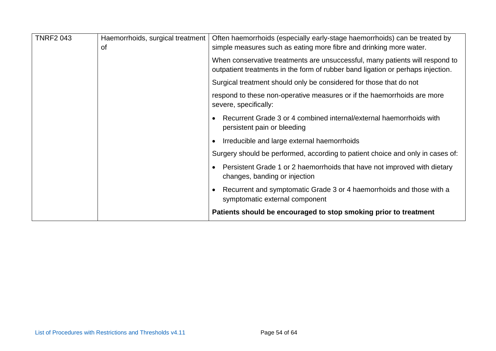| <b>TNRF2 043</b> | Haemorrhoids, surgical treatment<br>0f | Often haemorrhoids (especially early-stage haemorrhoids) can be treated by<br>simple measures such as eating more fibre and drinking more water.                |
|------------------|----------------------------------------|-----------------------------------------------------------------------------------------------------------------------------------------------------------------|
|                  |                                        | When conservative treatments are unsuccessful, many patients will respond to<br>outpatient treatments in the form of rubber band ligation or perhaps injection. |
|                  |                                        | Surgical treatment should only be considered for those that do not                                                                                              |
|                  |                                        | respond to these non-operative measures or if the haemorrhoids are more<br>severe, specifically:                                                                |
|                  |                                        | Recurrent Grade 3 or 4 combined internal/external haemorrhoids with<br>$\bullet$<br>persistent pain or bleeding                                                 |
|                  |                                        | Irreducible and large external haemorrhoids                                                                                                                     |
|                  |                                        | Surgery should be performed, according to patient choice and only in cases of:                                                                                  |
|                  |                                        | Persistent Grade 1 or 2 haemorrhoids that have not improved with dietary<br>$\bullet$<br>changes, banding or injection                                          |
|                  |                                        | Recurrent and symptomatic Grade 3 or 4 haemorrhoids and those with a<br>$\bullet$<br>symptomatic external component                                             |
|                  |                                        | Patients should be encouraged to stop smoking prior to treatment                                                                                                |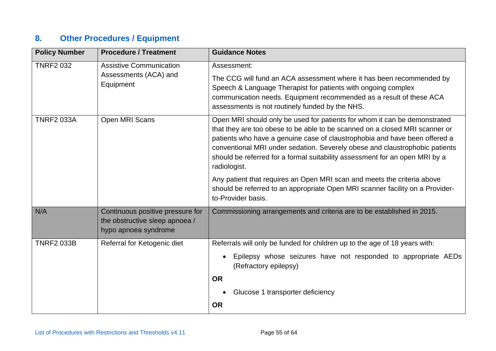# **8. Other Procedures / Equipment**

| <b>Policy Number</b> | <b>Procedure / Treatment</b>                                                               | <b>Guidance Notes</b>                                                                                                                                                                                                                                                                                                                                                                                                |
|----------------------|--------------------------------------------------------------------------------------------|----------------------------------------------------------------------------------------------------------------------------------------------------------------------------------------------------------------------------------------------------------------------------------------------------------------------------------------------------------------------------------------------------------------------|
| <b>TNRF2 032</b>     | <b>Assistive Communication</b><br>Assessments (ACA) and<br>Equipment                       | Assessment:<br>The CCG will fund an ACA assessment where it has been recommended by<br>Speech & Language Therapist for patients with ongoing complex<br>communication needs. Equipment recommended as a result of these ACA<br>assessments is not routinely funded by the NHS.                                                                                                                                       |
| <b>TNRF2 033A</b>    | Open MRI Scans                                                                             | Open MRI should only be used for patients for whom it can be demonstrated<br>that they are too obese to be able to be scanned on a closed MRI scanner or<br>patients who have a genuine case of claustrophobia and have been offered a<br>conventional MRI under sedation. Severely obese and claustrophobic patients<br>should be referred for a formal suitability assessment for an open MRI by a<br>radiologist. |
|                      |                                                                                            | Any patient that requires an Open MRI scan and meets the criteria above<br>should be referred to an appropriate Open MRI scanner facility on a Provider-<br>to-Provider basis.                                                                                                                                                                                                                                       |
| N/A                  | Continuous positive pressure for<br>the obstructive sleep apnoea /<br>hypo apnoea syndrome | Commissioning arrangements and criteria are to be established in 2015.                                                                                                                                                                                                                                                                                                                                               |
| <b>TNRF2 033B</b>    | Referral for Ketogenic diet                                                                | Referrals will only be funded for children up to the age of 18 years with:<br>Epilepsy whose seizures have not responded to appropriate AEDs<br>(Refractory epilepsy)<br><b>OR</b><br>Glucose 1 transporter deficiency<br><b>OR</b>                                                                                                                                                                                  |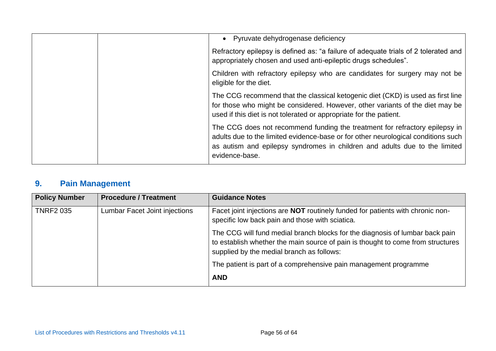|  | • Pyruvate dehydrogenase deficiency                                                                                                                                                                                                                              |
|--|------------------------------------------------------------------------------------------------------------------------------------------------------------------------------------------------------------------------------------------------------------------|
|  | Refractory epilepsy is defined as: "a failure of adequate trials of 2 tolerated and<br>appropriately chosen and used anti-epileptic drugs schedules".                                                                                                            |
|  | Children with refractory epilepsy who are candidates for surgery may not be<br>eligible for the diet.                                                                                                                                                            |
|  | The CCG recommend that the classical ketogenic diet (CKD) is used as first line<br>for those who might be considered. However, other variants of the diet may be<br>used if this diet is not tolerated or appropriate for the patient.                           |
|  | The CCG does not recommend funding the treatment for refractory epilepsy in<br>adults due to the limited evidence-base or for other neurological conditions such<br>as autism and epilepsy syndromes in children and adults due to the limited<br>evidence-base. |

# **9. Pain Management**

| <b>Policy Number</b> | <b>Procedure / Treatment</b>  | <b>Guidance Notes</b>                                                                                                                                                                                        |
|----------------------|-------------------------------|--------------------------------------------------------------------------------------------------------------------------------------------------------------------------------------------------------------|
| <b>TNRF2 035</b>     | Lumbar Facet Joint injections | Facet joint injections are <b>NOT</b> routinely funded for patients with chronic non-<br>specific low back pain and those with sciatica.                                                                     |
|                      |                               | The CCG will fund medial branch blocks for the diagnosis of lumbar back pain<br>to establish whether the main source of pain is thought to come from structures<br>supplied by the medial branch as follows: |
|                      |                               | The patient is part of a comprehensive pain management programme                                                                                                                                             |
|                      |                               | <b>AND</b>                                                                                                                                                                                                   |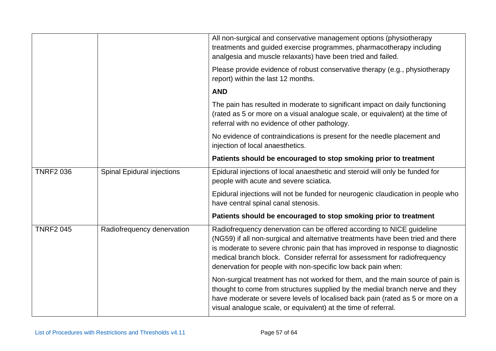|                  |                                   | All non-surgical and conservative management options (physiotherapy<br>treatments and guided exercise programmes, pharmacotherapy including<br>analgesia and muscle relaxants) have been tried and failed.                                                                                                                                                                              |
|------------------|-----------------------------------|-----------------------------------------------------------------------------------------------------------------------------------------------------------------------------------------------------------------------------------------------------------------------------------------------------------------------------------------------------------------------------------------|
|                  |                                   | Please provide evidence of robust conservative therapy (e.g., physiotherapy<br>report) within the last 12 months.                                                                                                                                                                                                                                                                       |
|                  |                                   | <b>AND</b>                                                                                                                                                                                                                                                                                                                                                                              |
|                  |                                   | The pain has resulted in moderate to significant impact on daily functioning<br>(rated as 5 or more on a visual analogue scale, or equivalent) at the time of<br>referral with no evidence of other pathology.                                                                                                                                                                          |
|                  |                                   | No evidence of contraindications is present for the needle placement and<br>injection of local anaesthetics.                                                                                                                                                                                                                                                                            |
|                  |                                   | Patients should be encouraged to stop smoking prior to treatment                                                                                                                                                                                                                                                                                                                        |
| <b>TNRF2 036</b> | <b>Spinal Epidural injections</b> | Epidural injections of local anaesthetic and steroid will only be funded for<br>people with acute and severe sciatica.                                                                                                                                                                                                                                                                  |
|                  |                                   | Epidural injections will not be funded for neurogenic claudication in people who<br>have central spinal canal stenosis.                                                                                                                                                                                                                                                                 |
|                  |                                   | Patients should be encouraged to stop smoking prior to treatment                                                                                                                                                                                                                                                                                                                        |
| <b>TNRF2 045</b> | Radiofrequency denervation        | Radiofrequency denervation can be offered according to NICE guideline<br>(NG59) if all non-surgical and alternative treatments have been tried and there<br>is moderate to severe chronic pain that has improved in response to diagnostic<br>medical branch block. Consider referral for assessment for radiofrequency<br>denervation for people with non-specific low back pain when: |
|                  |                                   | Non-surgical treatment has not worked for them, and the main source of pain is<br>thought to come from structures supplied by the medial branch nerve and they<br>have moderate or severe levels of localised back pain (rated as 5 or more on a<br>visual analogue scale, or equivalent) at the time of referral.                                                                      |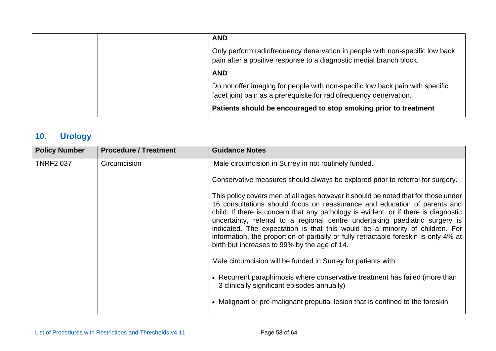|  | <b>AND</b>                                                                                                                                          |
|--|-----------------------------------------------------------------------------------------------------------------------------------------------------|
|  | Only perform radiofrequency denervation in people with non-specific low back<br>pain after a positive response to a diagnostic medial branch block. |
|  | <b>AND</b>                                                                                                                                          |
|  | Do not offer imaging for people with non-specific low back pain with specific<br>facet joint pain as a prerequisite for radiofrequency denervation. |
|  | Patients should be encouraged to stop smoking prior to treatment                                                                                    |

## **10. Urology**

| <b>Policy Number</b> | <b>Procedure / Treatment</b> | <b>Guidance Notes</b>                                                                                                                                                                                                                                                                                                                                                                                                                                                                                                                                          |
|----------------------|------------------------------|----------------------------------------------------------------------------------------------------------------------------------------------------------------------------------------------------------------------------------------------------------------------------------------------------------------------------------------------------------------------------------------------------------------------------------------------------------------------------------------------------------------------------------------------------------------|
| <b>TNRF2 037</b>     | Circumcision                 | Male circumcision in Surrey in not routinely funded.                                                                                                                                                                                                                                                                                                                                                                                                                                                                                                           |
|                      |                              | Conservative measures should always be explored prior to referral for surgery.                                                                                                                                                                                                                                                                                                                                                                                                                                                                                 |
|                      |                              | This policy covers men of all ages however it should be noted that for those under<br>16 consultations should focus on reassurance and education of parents and<br>child. If there is concern that any pathology is evident, or if there is diagnostic<br>uncertainty, referral to a regional centre undertaking paediatric surgery is<br>indicated. The expectation is that this would be a minority of children. For<br>information, the proportion of partially or fully retractable foreskin is only 4% at<br>birth but increases to 99% by the age of 14. |
|                      |                              | Male circumcision will be funded in Surrey for patients with:                                                                                                                                                                                                                                                                                                                                                                                                                                                                                                  |
|                      |                              | • Recurrent paraphimosis where conservative treatment has failed (more than<br>3 clinically significant episodes annually)                                                                                                                                                                                                                                                                                                                                                                                                                                     |
|                      |                              | • Malignant or pre-malignant preputial lesion that is confined to the foreskin                                                                                                                                                                                                                                                                                                                                                                                                                                                                                 |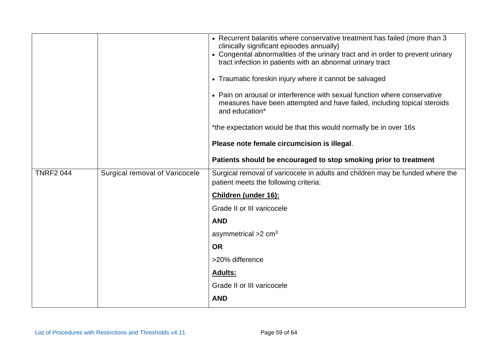|                  |                                | • Recurrent balanitis where conservative treatment has failed (more than 3<br>clinically significant episodes annually)<br>• Congenital abnormalities of the urinary tract and in order to prevent urinary<br>tract infection in patients with an abnormal urinary tract<br>• Traumatic foreskin injury where it cannot be salvaged<br>• Pain on arousal or interference with sexual function where conservative<br>measures have been attempted and have failed, including topical steroids<br>and education*<br>*the expectation would be that this would normally be in over 16s<br>Please note female circumcision is illegal.<br>Patients should be encouraged to stop smoking prior to treatment |
|------------------|--------------------------------|--------------------------------------------------------------------------------------------------------------------------------------------------------------------------------------------------------------------------------------------------------------------------------------------------------------------------------------------------------------------------------------------------------------------------------------------------------------------------------------------------------------------------------------------------------------------------------------------------------------------------------------------------------------------------------------------------------|
|                  |                                |                                                                                                                                                                                                                                                                                                                                                                                                                                                                                                                                                                                                                                                                                                        |
| <b>TNRF2 044</b> | Surgical removal of Varicocele | Surgical removal of varicocele in adults and children may be funded where the<br>patient meets the following criteria:                                                                                                                                                                                                                                                                                                                                                                                                                                                                                                                                                                                 |
|                  |                                | <b>Children (under 16):</b>                                                                                                                                                                                                                                                                                                                                                                                                                                                                                                                                                                                                                                                                            |
|                  |                                | Grade II or III varicocele                                                                                                                                                                                                                                                                                                                                                                                                                                                                                                                                                                                                                                                                             |
|                  |                                | <b>AND</b>                                                                                                                                                                                                                                                                                                                                                                                                                                                                                                                                                                                                                                                                                             |
|                  |                                | asymmetrical $>2$ cm <sup>3</sup>                                                                                                                                                                                                                                                                                                                                                                                                                                                                                                                                                                                                                                                                      |
|                  |                                | <b>OR</b>                                                                                                                                                                                                                                                                                                                                                                                                                                                                                                                                                                                                                                                                                              |
|                  |                                | >20% difference                                                                                                                                                                                                                                                                                                                                                                                                                                                                                                                                                                                                                                                                                        |
|                  |                                | <b>Adults:</b>                                                                                                                                                                                                                                                                                                                                                                                                                                                                                                                                                                                                                                                                                         |
|                  |                                | Grade II or III varicocele                                                                                                                                                                                                                                                                                                                                                                                                                                                                                                                                                                                                                                                                             |
|                  |                                | <b>AND</b>                                                                                                                                                                                                                                                                                                                                                                                                                                                                                                                                                                                                                                                                                             |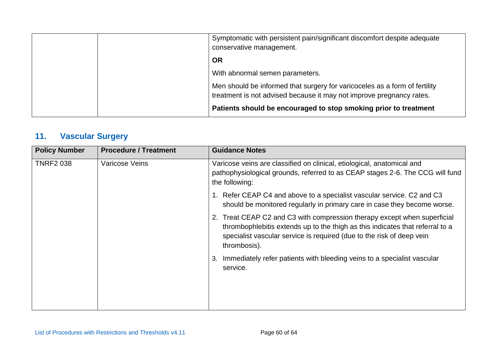|  | Symptomatic with persistent pain/significant discomfort despite adequate<br>conservative management.                                               |
|--|----------------------------------------------------------------------------------------------------------------------------------------------------|
|  | <b>OR</b>                                                                                                                                          |
|  | With abnormal semen parameters.                                                                                                                    |
|  | Men should be informed that surgery for varicoceles as a form of fertility<br>treatment is not advised because it may not improve pregnancy rates. |
|  | Patients should be encouraged to stop smoking prior to treatment                                                                                   |

## **11. Vascular Surgery**

| <b>Policy Number</b> | <b>Procedure / Treatment</b> | <b>Guidance Notes</b>                                                                                                                                                                                                                              |
|----------------------|------------------------------|----------------------------------------------------------------------------------------------------------------------------------------------------------------------------------------------------------------------------------------------------|
| <b>TNRF2 038</b>     | <b>Varicose Veins</b>        | Varicose veins are classified on clinical, etiological, anatomical and<br>pathophysiological grounds, referred to as CEAP stages 2-6. The CCG will fund<br>the following:                                                                          |
|                      |                              | 1. Refer CEAP C4 and above to a specialist vascular service. C2 and C3<br>should be monitored regularly in primary care in case they become worse.                                                                                                 |
|                      |                              | 2. Treat CEAP C2 and C3 with compression therapy except when superficial<br>thrombophlebitis extends up to the thigh as this indicates that referral to a<br>specialist vascular service is required (due to the risk of deep vein<br>thrombosis). |
|                      |                              | Immediately refer patients with bleeding veins to a specialist vascular<br>3.<br>service.                                                                                                                                                          |
|                      |                              |                                                                                                                                                                                                                                                    |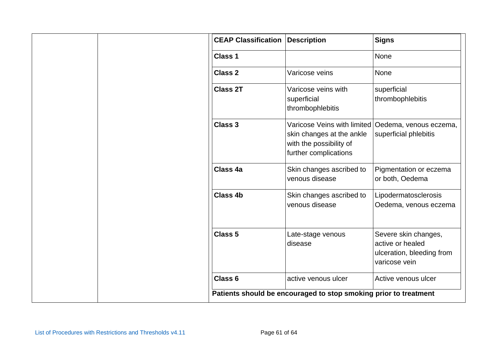|  | <b>CEAP Classification</b> | <b>Description</b>                                                                                                                    | <b>Signs</b>                                                                           |
|--|----------------------------|---------------------------------------------------------------------------------------------------------------------------------------|----------------------------------------------------------------------------------------|
|  | Class 1                    |                                                                                                                                       | None                                                                                   |
|  | <b>Class 2</b>             | Varicose veins                                                                                                                        | None                                                                                   |
|  | <b>Class 2T</b>            | Varicose veins with<br>superficial<br>thrombophlebitis                                                                                | superficial<br>thrombophlebitis                                                        |
|  | <b>Class 3</b>             | Varicose Veins with limited   Oedema, venous eczema,<br>skin changes at the ankle<br>with the possibility of<br>further complications | superficial phlebitis                                                                  |
|  | <b>Class 4a</b>            | Skin changes ascribed to<br>venous disease                                                                                            | Pigmentation or eczema<br>or both, Oedema                                              |
|  | <b>Class 4b</b>            | Skin changes ascribed to<br>venous disease                                                                                            | Lipodermatosclerosis<br>Oedema, venous eczema                                          |
|  | <b>Class 5</b>             | Late-stage venous<br>disease                                                                                                          | Severe skin changes,<br>active or healed<br>ulceration, bleeding from<br>varicose vein |
|  | Class <sub>6</sub>         | active venous ulcer                                                                                                                   | Active venous ulcer                                                                    |
|  |                            | Patients should be encouraged to stop smoking prior to treatment                                                                      |                                                                                        |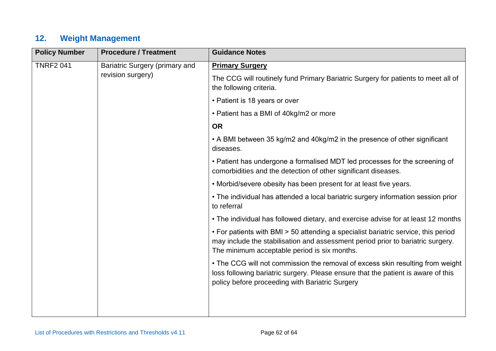## **12. Weight Management**

| <b>Policy Number</b> | <b>Procedure / Treatment</b>                                                                                                                                                                                          | <b>Guidance Notes</b>                                                                                                                                                                                                  |
|----------------------|-----------------------------------------------------------------------------------------------------------------------------------------------------------------------------------------------------------------------|------------------------------------------------------------------------------------------------------------------------------------------------------------------------------------------------------------------------|
| <b>TNRF2 041</b>     | Bariatric Surgery (primary and                                                                                                                                                                                        | <b>Primary Surgery</b>                                                                                                                                                                                                 |
|                      | revision surgery)                                                                                                                                                                                                     | The CCG will routinely fund Primary Bariatric Surgery for patients to meet all of<br>the following criteria.                                                                                                           |
|                      |                                                                                                                                                                                                                       | • Patient is 18 years or over                                                                                                                                                                                          |
|                      |                                                                                                                                                                                                                       | • Patient has a BMI of 40kg/m2 or more                                                                                                                                                                                 |
|                      |                                                                                                                                                                                                                       | <b>OR</b>                                                                                                                                                                                                              |
|                      |                                                                                                                                                                                                                       | • A BMI between 35 kg/m2 and 40kg/m2 in the presence of other significant<br>diseases.                                                                                                                                 |
|                      |                                                                                                                                                                                                                       | • Patient has undergone a formalised MDT led processes for the screening of<br>comorbidities and the detection of other significant diseases.                                                                          |
|                      | • Morbid/severe obesity has been present for at least five years.                                                                                                                                                     |                                                                                                                                                                                                                        |
|                      | • The individual has attended a local bariatric surgery information session prior<br>to referral                                                                                                                      |                                                                                                                                                                                                                        |
|                      | • The individual has followed dietary, and exercise advise for at least 12 months                                                                                                                                     |                                                                                                                                                                                                                        |
|                      | • For patients with BMI > 50 attending a specialist bariatric service, this period<br>may include the stabilisation and assessment period prior to bariatric surgery.<br>The minimum acceptable period is six months. |                                                                                                                                                                                                                        |
|                      |                                                                                                                                                                                                                       | • The CCG will not commission the removal of excess skin resulting from weight<br>loss following bariatric surgery. Please ensure that the patient is aware of this<br>policy before proceeding with Bariatric Surgery |
|                      |                                                                                                                                                                                                                       |                                                                                                                                                                                                                        |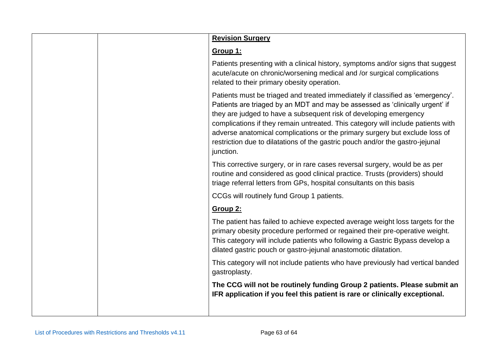| Group 1:                                                                                                                                                                                                                                                                                                                                                                                                                                                                                             |  |
|------------------------------------------------------------------------------------------------------------------------------------------------------------------------------------------------------------------------------------------------------------------------------------------------------------------------------------------------------------------------------------------------------------------------------------------------------------------------------------------------------|--|
| Patients presenting with a clinical history, symptoms and/or signs that suggest<br>acute/acute on chronic/worsening medical and /or surgical complications<br>related to their primary obesity operation.                                                                                                                                                                                                                                                                                            |  |
| Patients must be triaged and treated immediately if classified as 'emergency'.<br>Patients are triaged by an MDT and may be assessed as 'clinically urgent' if<br>they are judged to have a subsequent risk of developing emergency<br>complications if they remain untreated. This category will include patients with<br>adverse anatomical complications or the primary surgery but exclude loss of<br>restriction due to dilatations of the gastric pouch and/or the gastro-jejunal<br>junction. |  |
| This corrective surgery, or in rare cases reversal surgery, would be as per<br>routine and considered as good clinical practice. Trusts (providers) should<br>triage referral letters from GPs, hospital consultants on this basis                                                                                                                                                                                                                                                                   |  |
| CCGs will routinely fund Group 1 patients.                                                                                                                                                                                                                                                                                                                                                                                                                                                           |  |
| Group 2:                                                                                                                                                                                                                                                                                                                                                                                                                                                                                             |  |
| The patient has failed to achieve expected average weight loss targets for the<br>primary obesity procedure performed or regained their pre-operative weight.<br>This category will include patients who following a Gastric Bypass develop a<br>dilated gastric pouch or gastro-jejunal anastomotic dilatation.                                                                                                                                                                                     |  |
| This category will not include patients who have previously had vertical banded<br>gastroplasty.                                                                                                                                                                                                                                                                                                                                                                                                     |  |
| The CCG will not be routinely funding Group 2 patients. Please submit an<br>IFR application if you feel this patient is rare or clinically exceptional.                                                                                                                                                                                                                                                                                                                                              |  |